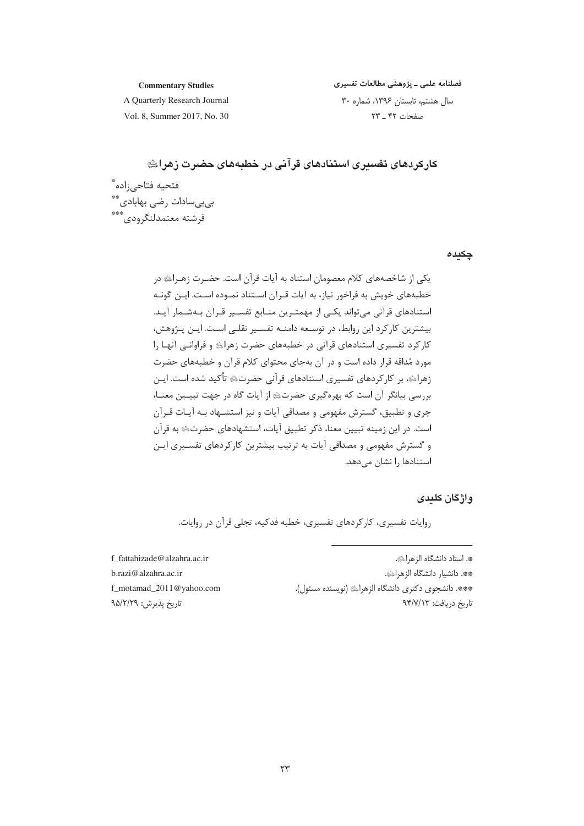#### **Commentary Studies**

فصلنامه علمی ـ پژوهشی مطالعات تفسیری

A Quarterly Research Journal Vol. 8, Summer 2017, No. 30 سال هشتم، تابستان ١٣٩۶، شماره ٣٠ صفحات ۴۲ \_ ۲۳

کارکردهای تف*س*یری استنادهای قرآنی در خطبههای حضرت زهراﷺ فتحيه فتاحىزاده \* سى<br>بىبىسادات رضى بهابادى \*\*<br>فرشته معتمدلنگرودى\*\*\*

چکیدہ

# واژگان کلیدی

روایات تفسیری، کارکردهای تفسیری، خطبه فدکیه، تجلی قرآن در روایات.

f fattahizade@alzahra.ac.ir b.razi@alzahra.ac.ir f\_motamad\_2011@yahoo.com تاریخ پذیرش: ۹۵/۲/۲۹

\*. استاد دانشگاه الزهراﷺ. \*\*. دانشيار دانشگاه الزهراﷺ. \*\*\*. دانشجوی دکتری دانشگاه الزهراﷺ (نویسنده مسئول). تاريخ دريافت: ٩۴/٧/١٣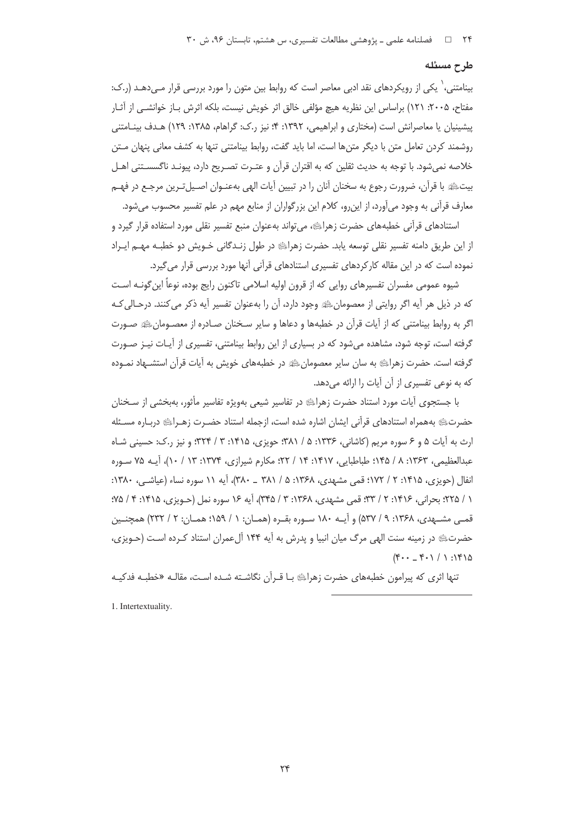#### طرح مسئله

بینامتنی، ٰ یکی از رویکردهای نقد ادبی معاصر است که روابط بین متون را مورد بررسی قرار مـیدهـد (ر.ک: مفتاح، ۲۰۰۵: ۱۲۱) براساس این نظریه هیچ مؤلفی خالق اثر خویش نیست، بلکه اثرش بـاز خوانشـی از آثـار پیشینیان یا معاصرانش است (مختاری و ابراهیمی، ۱۳۹۲: ۴: نیز ر.ک: گراهام، ۱۳۸۵: ۱۲۹) هـدف بینـامتنی روشمند کردن تعامل متن با دیگر متن ها است، اما باید گفت، روابط بینامتنی تنها به کشف معانی پنهان مــتن خلاصه نمی شود. با توجه به حدیث ثقلین که به اقتران قرآن و عتـرت تصـریح دارد، پیونـد ناگسسـتنی اهـل بیتﷺ با قرآن، ضرورت رجوع به سخنان آنان را در تبیین آیات الهی بهعنـوان اصـیلتـرین مرجـع در فهـم معارف قرآنی به وجود میآورد، از این٫رو، کلام این بزرگواران از منابع مهم در علم تفسیر محسوب میشود.

استنادهای قرآنی خطبههای حضرت زهرایی ، می تواند بهعنوان منبع تفسیر نقلی مورد استفاده قرار گیرد و از این طریق دامنه تفسیر نقلی توسعه پابد. حضرت زهرای او در طول زنـدگانی خـویش دو خطبـه مهـم ایـراد نموده است که در این مقاله کارکردهای تفسیری استنادهای قرآنی آنها مورد بررسی قرار میگیرد.

شیوه عمومی مفسران تفسیرهای روایی که از قرون اولیه اسلامی تاکنون رایج بوده، نوعاً این گونـه اسـت كه در ذيل هر آيه اگر روايتي از معصومانﷺ وجود دارد، آن را بهعنوان تفسير آيه ذكر مي كنند. درحـالي كـه اگر به روابط بینامتنی که از آیات قرآن در خطبهها و دعاها و سایر سـخنان صـادره از معصـومانﷺ صـورت گرفته است، توجه شود، مشاهده میشود که در بسیاری از این روابط بینامتنی، تفسیری از آیـات نیـز صـورت گرفته است. حضرت زهراﷺ به سان سایر معصومانﷺ در خطبههای خویش به آیات قرآن استشــهاد نمـوده که به نوعی تفسیری از آن آیات را ارائه می دهد.

با جستجوی آیات مورد استناد حضرت زهرایه در تفاسیر شیعی بهویژه تفاسیر مأثور، بهبخشی از سـخنان حضرتﷺ بههمراه استنادهاى قرآنى ايشان اشاره شده است، ازجمله استناد حضـرت زهـراﷺ دربـاره مسـئله ارث به آیات ۵ و ۶ سوره مریم (کاشانی، ۱۳۳۶: ۵ / ۳۸۱؛ حویزی، ۱۴۱۵: ۳ / ۳۲۴؛ و نیز ر.ک: حسینی شـاه عبدالعظیمی، ۱۳۶۳: ۸ / ۱۴۵؛ طباطبایی، ۱۴۱۷: ۱۴ / ۲۲؛ مکارم شیرازی، ۱۳۷۴: ۱۳ / ۱۰)، آیــه ۷۵ سـوره انفال (حویزی، ۱۴۱۵: ۲ / ۱۷۲؛ قمی مشهدی، ۱۳۶۸: ۵ / ۳۸۱ \_ ۳۸۰)، آیه ۱۱ سوره نساء (عیاشے ،، ۱۳۸۰: ١ / ٢٢۵؛ بحراني، ١٤١۶: ٢ / ٣٣؛ قمي مشهدي، ١٣۶٨: ٣ / ٣٤۵)، آيه ١۶ سوره نمل (حـويزي، ١٤١٥: ٤ / ٧۵؛ قمـی مشــهدی، ۱۳۶۸: ۹ / ۵۳۷) و آیــه ۱۸۰ سـوره بقــره (همــان: ۱ / ۱۵۹؛ همــان: ۲ / ۲۳۲) همچنــین حضرتﷺ در زمینه سنت الهی مرگ میان انبیا و پدرش به آیه ۱۴۴ آلءمران استناد کـرده اسـت (حـویزی،  $(F - F - V)$  :  $F$ 

تنها اثری که پیرامون خطبههای حضرت زهرای با قـرآن نگاشـته شـده اسـت، مقالـه «خطبـه فدکیـه

1. Intertextuality.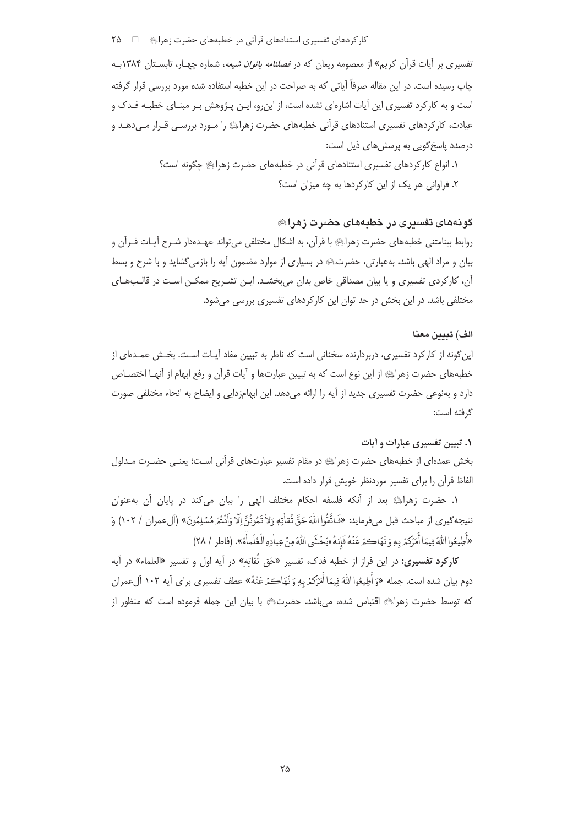کار کردهای تفسیری استنادهای قرآنی در خطبههای حضرت زهرایِ □ ۲۵

تفسیری بر آیات قرآن کریم» از معصومه ریعان که در *فصلنامه بانوان شیعه*، شماره چهـار، تابســتان ۱۳۸۴بــه چاپ رسیده است. در این مقاله صرفاً آیاتی که به صراحت در این خطبه استفاده شده مورد بررسی قرار گرفته است و به کارکرد تفسیری این آیات اشارهای نشده است، از این٫رو، ایـن پـژوهش بـر مبنـای خطبـه فـدک و عیادت، کارکردهای تفسیری استنادهای قرآنی خطبههای حضرت زهرایے را مـورد بررسـی قـرار مـی دهـد و درصدد پاسخ گویی به پرسش های ذیل است:

> ١. انواع كاركردهاي تفسيري استنادهاي قرآني در خطبههاي حضرت زهراﷺ چگونه است؟ ۲. فراوانی هر یک از این کارکردها به چه میزان است؟

# گونههای تفسیری در خطبههای حضرت زهرای

روابط بینامتنی خطبههای حضرت زهراﷺ با قرآن، به اشکال مختلفی می تواند عهـدهدار شـرح آیـات قـرآن و بیان و مراد الهی باشد، بهعبارتی، حضرتﷺ در بسیاری از موارد مضمون آیه را بازمی گشاید و با شرح و بسط آن، کارکردی تفسیری و یا بیان مصداقی خاص بدان می بخشــد. ایـن تشـریح ممکــن اسـت در قالـب۱هـای مختلفی باشد. در این بخش در حد توان این کارکردهای تفسیری بررسی می شود.

#### الف) تبيين معنا

این گونه از کارکرد تفسیری، دربردارنده سخنانی است که ناظر به تبیین مفاد آیـات اسـت. بخـش عمـدهای از خطبههای حضرت زهراﷺ از این نوع است که به تبیین عبارتها و آیات قرآن و رفع ابهام از آنهـا اختصـاص دارد و بهنوعی حضرت تفسیری جدید از آیه را ارائه می دهد. این ابهامزدایی و ایضاح به انحاء مختلفی صورت گرفته است:

## ۰۱. تبیین تفسیری عبارات و آیات

بخش عمدهای از خطبههای حضرت زهرای در مقام تفسیر عبارتهای قرآنی است؛ یعنی حضـرت مـدلول الفاظ قرآن را برای تفسیر موردنظر خویش قرار داده است.

١. حضرت زهرائِ بعد از آنكه فلسفه احكام مختلف الهى را بيان مى كند در پايان آن بهعنوان نتيجه گيري از مباحث قبل ميفرمايد: «فَاتَّقُوااللَّهَ حَقَّ تُقاٰتِهٖ وَلاٰ تَمُوتُنَّ اِلّا وَاَنْتُمْ مُسْلِمُونَ» (آلءمران / ١٠٢) وَ «أَطِيعُوا اللَّهَ فِيمَا أَمَرَكَمْ بِهِ وَ نَهَاكَمْ عَنْهُ فَإِنهُ «يَخْشَى اللَّهَ مِنْ عِباٰدِهِ الْعُلَماأَة». (فاطر / ٢٨)

**کارکرد تفسیری:** در این فراز از خطبه فدک، تفسیر «حَق تُقاتِه» در آیه اول و تفسیر «العلماء» در آیه دوم بيان شده است. جمله «وَ أُطِيعُوا اللهَ فِيمَا أُمَرَكمْ بِهِ وَ نَهَاكمْ عَنْهُ» عطف تفسيري براي آيه ١٠٢ آلءمران كه توسط حضرت زهراﷺ اقتباس شده، مىباشد. حضرتﷺ با بيان اين جمله فرموده است كه منظور از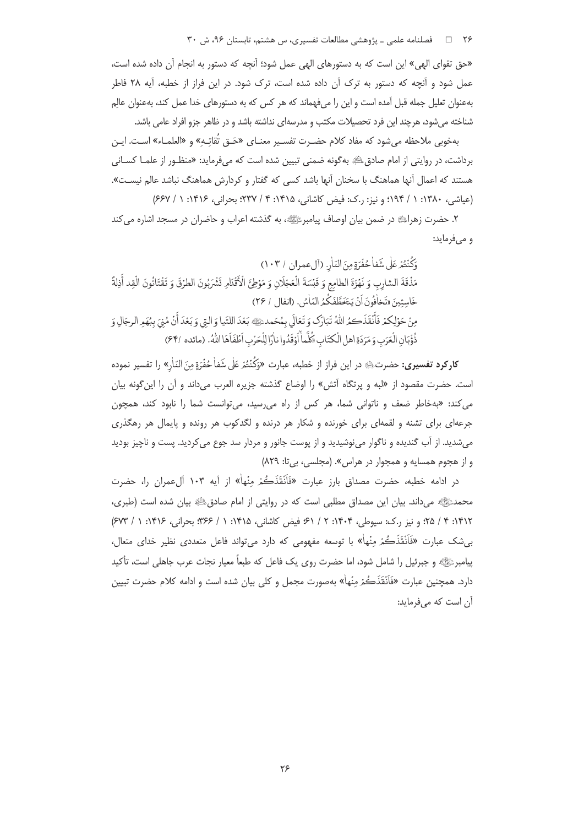۲۶ □ فصلنامه علمی ـ پژوهشی مطالعات تفسیری، س هشتم، تابستان ۹۶، ش ۳۰

«حق تقواى الهي» اين است كه به دستورهاى الهي عمل شود؛ آنچه كه دستور به انجام آن داده شده است، عمل شود و آنچه که دستور به ترک آن داده شده است، ترک شود. در این فراز از خطبه، آیه ۲۸ فاطر بهعنوان تعلیل جمله قبل آمده است و این را میفهماند که هر کس که به دستورهای خدا عمل کند، بهعنوان عالِم شناخته می شود، هرچند این فرد تحصیلات مکتب و مدرسهای نداشته باشد و در ظاهر جزو افراد عامی باشد.

بهخوبي ملاحظه مي شود كه مفاد كلام حضـرت تفسـير معنـاي «حَـق تُقاتِـه» و «العلمـاء» اسـت. ايـن برداشت، در روایتی از امام صادقﷺ به گونه ضمنی تبیین شده است که میفرماید: «منظـور از علمـا کســانی هستند که اعمال آنها هماهنگ با سخنان آنها باشد کسی که گفتار و کردارش هماهنگ نباشد عالم نیسـت». (عیاشی، ۱۳۸۰: ۱ / ۱۹۴: و نیز: ر.ک: فیض کاشانی، ۱۴۱۵: ۴ / ۲۳۷: بحرانی، ۱۴۱۶: ۱ / ۶۶۷)

٢. حضرت زهراي» در ضمن بيان اوصاف پيامبرﷺ، به گذشته اعراب و حاضران در مسجد اشاره مي كند و میفرماید:

وَكُنْتُمْرِ عَلَى شَفاْحُفْرَةِ مِنَ النّارِ. (أل عمران / ١٠٣) مَذْقَةَ الشارِبِ وَ نَهْزَةَ الطامِعِ وَ قَبْسَةَ الْعَجْلَانِ وَ مَوْطِيً الْأَقْدَامِ تَشْرَبُونَ الطرْقَ وَ تَقْتَاتُونَ الْقِد أَذِلَةً خَاسِئِينَ «تَخافُونَ أَنْ يَتَخَطَّفَكُمُ النّاسُ. (انفال / ٢۶) مِنْ حَوْلِكُمْ فَأَنْقَذَكَمُ اللَّهُ تَبَارَكَ وَ تَعَالَى بِمُحَمِّدٍ ﷺ بَعْدَ اللَّيَا وَ الَّتِي وَ بَعْدَ أَنْ مُنِيَ بِبُهَمِ الرجَالِ وَ ذُؤُبَانِ الْعَرَبِ وَ مَرَدَةِ اهلِ الْكِتَابِ «كُلَّماْ أَوْقَدُوا ناْرًا لِلْحَرْبِ اَطْفَاَهَا اللهُ. (مائده /۶۴)

**کارکرد تفسیری:** حضرتﷺ در این فراز از خطبه، عبارت «وَكُنْتُمْ عَلٰى شَفاٰ حُفْرَةٍ مِنَ النّارِ» را تفسیر نموده است. حضرت مقصود از «لبه و پرتگاه آتش» را اوضاع گذشته جزیره العرب میداند و آن را این گونه بیان می کند: «بهخاطر ضعف و ناتوانی شما، هر کس از راه می رسید، می توانست شما را نابود کند، همچون جرعهای برای تشنه و لقمهای برای خورنده و شکار هر درنده و لگدکوب هر رونده و پایمال هر رهگذری میشدید. از آب گندیده و ناگوار مینوشیدید و از پوست جانور و مردار سد جوع میکردید. پست و ناچیز بودید و از هجوم همسایه و همجوار در هراس». (مجلسی، بی تا: ۸۲۹)

در ادامه خطبه، حضرت مصداق بارز عبارت «فَأَنْقَذَكُمْ مِنْهاْ» از آيه ۱۰۳ آلءمران را، حضرت محمدﷺ میداند. بیان این مصداق مطلبی است که در روایتی از امام صادقﷺ بیان شده است (طبری، ١٣١٢: ٣ / ٢٥: و نيز ر.ک: سيوطي، ١۴٠۴: ٢ / ٤١: صفي کاشاني، ١۴١۵: ١ / ٣۶۶: بحراني، ١۴١۶: ١ / ۶۷۳) بی شک عبارت «فَاَنْقَذَڪُمْ مِنْهاْ» با توسعه مفهومی که دارد می تواند فاعل متعددی نظیر خدای متعال، پیامبرﷺ و جبرئیل را شامل شود، اما حضرت روی یک فاعل که طبعاً معیار نجات عرب جاهلی است، تأکید دارد. همچنین عبارت «فَاَنْقَذَكُمْ مِنْهاْ» بهصورت مجمل و کلی بیان شده است و ادامه کلام حضرت تبیین آن است که مے فرماید: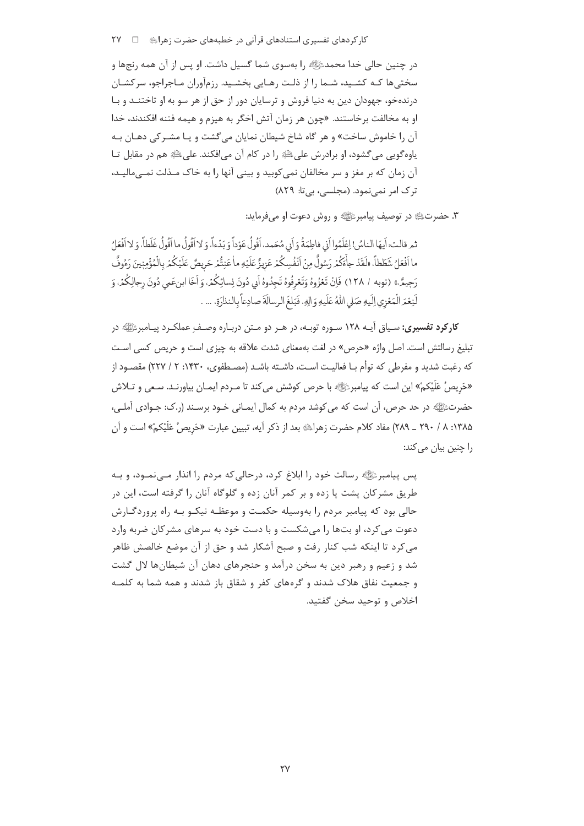کا<sub>د</sub> کردهای تفسیری استنادهای قرآنی در خطبههای حضرت ;هرایﷺ □ ٢٧

در چنین حالی خدا محمدﷺ را بهسوی شما گسیل داشت. او پس از آن همه رنجها و سختیها کـه کشـید، شـما را از ذلـت رهـایی بخشـید. رزمآوران مـاجراجو، سرکشـان درندهخو، جهودان دین به دنیا فروش و ترسایان دور از حق از هر سو به او تاختنـد و بـا او به مخالفت برخاستند. «چون هر زمان آتش اخگر به هیزم و هیمه فتنه افکندند، خدا آن را خاموش ساخت» و هر گاه شاخ شیطان نمایان میگشت و یـا مشـرکی دهـان بـه ياوه گويي مي گشود، او برادرش عليﷺ را در كام آن مي|فكند. عليﷺ هم در مقابل تــا آن زمان که بر مغز و سر مخالفان نمی کوبید و بینی آنها را به خاک مـذلت نمـی مالیـد، ترک امر نمی نمود. (مجلسی، بی تا: ٨٢٩)

٣. حضرتﷺ در توصيف پيامبرﷺ و روش دعوت او مي فرمايد:

ثِمِ قالتٍ: أيهَا الناسُ! اعْلَمُوا أَذِ، فاطِمَةُ وَ أَدِ، مُحَمِدٍ، أَقُولُ عَوْداً وَ يَدْءاً، وَ لا أَقُولُ ما أَقُولُ غَلَطاً، وَ لا أَفُعَلُ ما اَفْعَلُ شَطَطاً، «لَقَدْ جاْءَكُمْ رَسُولٌ مِنْ اَنْفُسِكُمْ عَزِيزٌ عَلَيْهِ ماٰ عَنِتُّمْ حَرِيصٌ عَلَيْكُمْ بالْمُؤْمِنِينَ رَءُوفٌ رَجِيمٌ.» (توبه / ١٢٨) فَإِنْ تَعْزُوهُ وَتَعْرِفُوهُ تَجِدُوهُ أَبِي دُونَ نِسائِكُمْ، وَأَخَا ابنِعَمي دُونَ رجالِكُمْ، وَ لَنِعْمَ الْمَعْزِي إِلَيهِ صَلِّي اللَّهُ عَلَيهِ وَالِهِ. فَبَلغَ الرسالَةَ صادِعاً بِالنذارَةِ. … .

**کارکرد تفسیری:** سیاق آیـه ۱۲۸ سـوره توبـه، در هـر دو مـتن دربـاره وصـف عملکـرد پیـامبرﷺ در تبلیغ رسالتش است. اصل واژه «حرص» در لغت بهمعنای شدت علاقه به چیزی است و حریص کسی است که رغبت شدید و مفرطی که توأم بـا فعالیـت اسـت، داشـته باشـد (مصـطفوی، ۱۴۳۰: ۲ / ۲۲۷) مقصـود از «حَرِيصُ عَلَيْكمْ» اين است كه پيامبرﷺ با حرص كوشش مي كند تا مـردم ايمـان بياورنـد. سـعي و تـلاش حضرتﷺ در حد حرص، آن است که می کوشد مردم به کمال ایمـانی خـود برسـند (ر.ک: جـوادی آملـی، ۱۳۸۵: ۸ / ۲۹۰ \_ ۲۸۹) مفاد کلام حضرت زهرای اوم بعد از ذکر آیه، تبیین عبارت «حَریصُ عَلَیْکمْ» است و آن را چنین بیان می کند:

پس پیامبرﷺ رسالت خود را ابلاغ کرد، درحالی که مردم را انذار مـیiمـود، و بـه طریق مشرکان پشت یا زده و بر کمر آنان زده و گلوگاه آنان را گرفته است، این در حالي بود که پيامبر مردم را بهوسيله حکمت و موعظـه نيکـو بـه راه پروردگـارش دعوت می کرد، او بتها را می شکست و با دست خود به سرهای مشرکان ضربه وارد می کرد تا اینکه شب کنار رفت و صبح آشکار شد و حق از آن موضع خالصش ظاهر شد و زعیم و رهبر دین به سخن درآمد و حنجرهای دهان آن شیطانها لال گشت و جمعیت نفاق هلاک شدند و گرههای کفر و شقاق باز شدند و همه شما به کلمـه اخلاص و توحيد سخن گفتيد.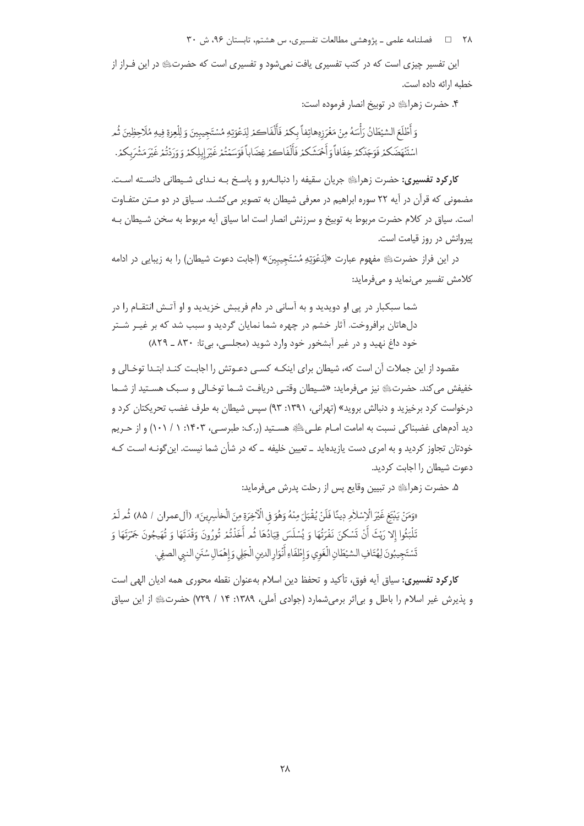۲۸ = 1 فصلنامه علمی ـ پژوهشی مطالعات تفسیری، س هشتم، تابستان ۹۶، ش ۳۰

این تفسیر چیزی است که در کتب تفسیری یافت نمی شود و تفسیری است که حضرتﷺ در این فـراز از خطبه ارائه داده است.

۴. حضرت زهرایی در توبیخ انصار فرموده است:

وَ أَطْلَعَ الشَّيْطَانُ رَأْسَهُ مِنْ مَغْرَزِهِهاتِفاً بِكُمْ فَأَلْفَاكُمْ لِدَعْوَتِهِ مُسْتَجِيبِينَ وَ لِلْعِزِةِ فِيهِ مُلْاحِظِينَ ثُمِر اسْتَنْهَضَكُمْ فَوَجَدَكُمْ خِفَافاً وَأَحْمَشَكُمْ فَأَلْفَاكُمْ غِضَاباً فَوَسَمْتُمْ غَيْرَ إِبِلِكُمْ وَوَرَدْتُمْ غَيْرَ مَشْرَبِكُمْ.

**کارکرد تفسیری:** حضرت زهرای جریان سقیفه را دنبالـهرو و پاسـخ بـه نـدای شـیطانی دانسـته اسـت. مضمونی که قرآن در آیه ۲۲ سوره ابراهیم در معرفی شیطان به تصویر می کشـد. سـیاق در دو مـتن متفـاوت است. سیاق در کلام حضرت مربوط به توبیخ و سرزنش انصار است اما سیاق آیه مربوط به سخن شـیطان بـه پیروانش در روز قیامت است.

در این فراز حضرتﷺ مفهوم عبارت «لِدَعْوَتِهِ مُسْتَجِيبِينَ» (اجابت دعوت شیطان) را به زیبایی در ادامه كلامش تفسير مى نمايد و مى فرمايد:

شما سبکبار در یی او دویدید و به آسانی در دام فریبش خزیدید و او آتـش انتقـام را در دلهاتان برافروخت. آثار خشم در چهره شما نمایان گردید و سبب شد که بر غیـر شـتر خود داغ نهيد و در غير آبشخور خود وارد شويد (مجلسي، بي تا: ۸۳۰ ـ ۸۲۹)

مقصود از این جملات آن است که، شیطان برای اینکـه کسـی دعـوتش را اجابـت کنـد ابتـدا توخـالی و خفيفش مي كند. حضرتﷺ نيز ميفرمايد: «شـيطان وقتـي دريافـت شـما توخـالي و سـبك هسـتيد از شـما درخواست کرد برخیزید و دنبالش بروید» (تهرانی، ۱۳۹۱: ۹۳) سیس شیطان به طرف غضب تحریکتان کرد و دید آدمهای غضبناکی نسبت به امامت امـام علـی ﷺ هسـتید (ر.ک: طبرسـی، ۱۴۰۳: ۱ / ۱۰۱) و از حـریم .<br>خودتان تجاوز کردید و به امری دست یازیدهاید ــ تعیین خلیفه ــ که در شأن شما نیست. این گونــه اســت کــه دعوت شیطان را اجابت کردید.

۵. حضرت زهرایی در تبیین وقایع پس از رحلت پدرش میفرماید:

«وَمَنْ يَبْتَغِ غَيْرَ الْإِسْلاٰمِ دِينًا فَلَنْ يُقْبَلَ مِنْهُ وَهُوَ فِي الْأَخِرَةِ مِنَ الْخاسِرِينَ». (آلعمران / ٨٥) ثُم لَمْ تَلْبَثُوا إِلا رَيْثَ أَنْ تَسْكِنَ نَفْرَتُهَا وَ يُسْلَسَ قِيَادُهَا ثُم أَخَذْتُمْ تُورُونَ وَقْدَتَهَا وَ تُهَيجُونَ جَمْرَتَهَا وَ تَسْتَجِيبُونَ لِهُتَافِ الشِّيطَانِ الْغَوي وَإِطْفَاءِ أَنْوَارِ الدينِ الْجَلِي وَإِهْمَالِ سُنَنِ النبي الصفي.

**کارکرد تفسیری:** سیاق آیه فوق، تأکید و تحفظ دین اسلام بهعنوان نقطه محوری همه ادیان الهی است و پذیرش غیر اسلام را باطل و بی اثر برمی شمارد (جوادی آملی، ۱۳۸۹: ۱۴ / ۷۲۹) حضرتﷺ از این سیاق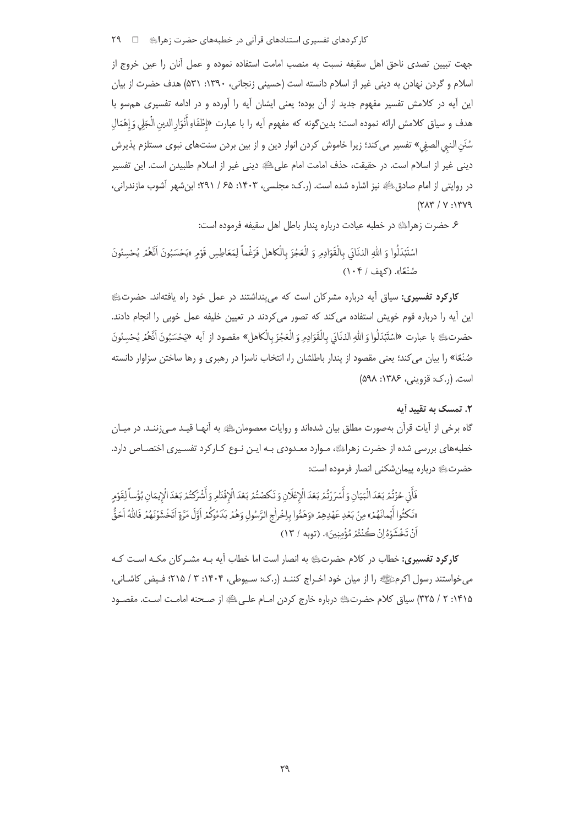کار کردهای تفسیری استنادهای قرآنی در خطبههای حضرت زهرای ! ت سم ۲۹

جهت تبیین تصدی ناحق اهل سقیفه نسبت به منصب امامت استفاده نموده و عمل آنان را عین خروج از اسلام و گردن نهادن به دینی غیر از اسلام دانسته است (حسینی زنجانی، ۱۳۹۰: ۵۳۱) هدف حضرت از بیان این آیه در کلامش تفسیر مفهوم جدید از آن بوده؛ یعنی ایشان آیه را آورده و در ادامه تفسیری هم سو با هدف و سياق كلامش ارائه نموده است؛ بدين گونه كه مفهوم آيه را با عبارت «إطْفَاءِ أَنْوَار الدين الْجَلي وَ إهْمَال سُنَنِ النبي الصفي» تفسير مي كند؛ زيرا خاموش كردن انوار دين و از بين بردن سنتهاي نبوي مستلزم يذيرش دینی غیر از اسلام است. در حقیقت، حذف امامت امام علیﷺ دینی غیر از اسلام طلبیدن است. این تفسیر در روایتی از امام صادق ﷺ نیز اشاره شده است. (ر.ک: مجلسی، ۱۴۰۳: ۶۵ / ۲۹۱؛ ابنِ شهر آشوب مازندرانی،  $(Y\Lambda Y / Y \cdot Y)$ 

۶ـ حضرت زهرائِيًّا در خطبه عيادت درباره پندار باطل اهل سقيفه فرموده است:

اسْتَبْدَلُوا وَ الله الذنَادَي بِالْقَوَادِمِ وَ الْعَجُزَ بِالْكَاهِلِ فَرَغْماً لِمَعَاطِسٍ قَوْمِ «يَحْسَبُونَ أَنَّعْمُ يُحْسِنُونَ صُنْعًا». (كهف / ١٠۴)

**کارکرد تفسیری:** سیاق آیه درباره مشرکان است که می پنداشتند در عمل خود راه یافتهاند. حضرتﷺ این آیه را درباره قوم خویش استفاده می کند که تصور می کردند در تعیین خلیفه عمل خوبی را انجام دادند. حضرتﷺ با عبارت «اسْتَبْدَلُوا وَ اللهِ الذنَابَي بِالْقَوَادِمِ وَ الْعَجُزَ بِالْكاهلِ» مقصود از آيه «يَحْسَبُونَ اَنَّهُمُر يُحْسِنُونَ صُنْعًا» را بيان مي كند؛ يعني مقصود از يندار باطلشان را، انتخاب ناسزا در رهبري و رها ساختن سزاوار دانسته است. (ر.ک: قزوینی، ۱۳۸۶: ۵۹۸)

## ۲. تمسک به تقیید آبه

گاه برخی از آیات قرآن بهصورت مطلق بیان شدهاند و روایات معصومانﷺ به آنهـا قیـد مـی;ننـد. در میـان خطبههای بررسی شده از حضرت زهرایﷺ، مـوارد معـدودی بـه ایـن نـوع کـارکرد تفسـیری اختصـاص دارد. حضرتﷺ درباره پیمان شکنی انصار فرموده است:

فَأَنِي حُزْتُمْ بَعْدَ الْبَيَانِ وَأَسْرَرْتُمْ بَعْدَ الْإِعْلَانِ وَنَكصْتُمْ بَعْدَ الْإِقْدَامِ وَأَشْرَكتُمْ بَعْدَ الْإِيمَانِ بُؤْساً لِقَوْمٍ «نَكْثُوا أَيُمانَهُمْ» مِنْ بَعْدِ عَهْدِهِمْ «وَهَمُّوا بِإِخْراٰجِ الرَّسُولِ وَهُمْ بَدَءُوكُمْ أَوَّلَ مَرَّةٍ اتَخْشَوْنَهُمْ فَاللَّهُ اَحَقُّ اَنْ تَخْشَوْهُ إِنْ كُنْتُمْ مُؤْمِنِينَ». (توبه / ١٣)

**کارکرد تفسیری:** خطاب در کلام حضرتﷺ به انصار است اما خطاب آیه بـه مشـر کان مکـه اسـت کـه میخواستند رسول اکرمﷺ را از میان خود اخـراج کننـد (ر.ک: سـیوطی، ۱۴۰۴: ۳ / ۲۱۵؛ فـیض کاشـانے، ۱۴۱۵: ۲ / ۳۲۵) سیاق کلام حضرتﷺ درباره خارج کردن امـام علـیﷺ از صـحنه امامـت اسـت. مقصـود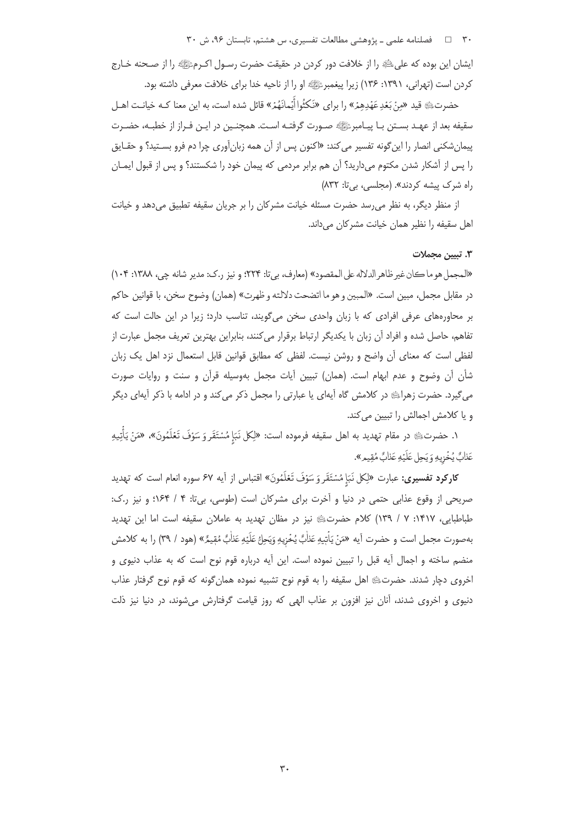٣٠ = 1 فصلنامه علمي ـ پژوهشي مطالعات تفسيري، س هشتم، تابستان ٩۶، ش ٣٠

ايشان اين بوده كه علىﷺ را از خلافت دور كردن در حقيقت حضرت رسـول اكـرمﷺ را از صـحنه خـارج کردن است (تهرانی، ۱۳۹۱: ۱۳۶) زیرا پیغمبرﷺ او را از ناحیه خدا برای خلافت معرفی داشته بود.

حضرتﷺ قيد «مِنْ بَعْدِعَهْدِهِمْ» را براي «نَكثُوا أَيْمانَهُمْ» قائل شده است، به اين معنا كـه خيانـت اهـل سقيفه بعد از عهـد بسـتن بـا پيـامبرﷺ صـورت گرفتـه اسـت. همچنـين در ايـن فـراز از خطبـه، حضـرت پیمان شکنی انصار را این گونه تفسیر می کند: «اکنون پس از آن همه زبان آوری چرا دم فرو بسـتید؟ و حقـایق را پس از آشکار شدن مکتوم میدارید؟ آن هم برابر مردمی که پیمان خود را شکستند؟ و پس از قبول ایمـان راه شرک پیشه کردند». (مجلسی، بی تا: ۸۳۲)

از منظر دیگر، به نظر می رسد حضرت مسئله خیانت مشركان را بر جریان سقیفه تطبیق می دهد و خیانت اهل سقیفه را نظیر همان خیانت مشرکان میداند.

#### ۳. تسن محملات

«المجمل هو ما كان غير ظاهر الدلاله على المقصود» (معارف، بي تا: ٢٢٣؛ و نيز ر.ك: مدير شانه چي، ١٣٨٨: ١٠۴) در مقابل مجمل، مبين است. «المبين و هو ما اتضحت دلالته و ظهرت» (همان) وضوح سخن، با قوانين حاكم بر محاورههای عرفی افرادی که با زبان واحدی سخن می گویند، تناسب دارد؛ زیرا در این حالت است که تفاهم، حاصل شده و افراد آن زبان با يكديگر ارتباط برقرار مى كنند، بنابراين بهترين تعريف مجمل عبارت از لفظی است که معنای آن واضح و روشن نیست. لفظی که مطابق قوانین قابل استعمال نزد اهل یک زبان شأن آن وضوح و عدم ابهام است. (همان) تبیین آیات مجمل بهوسیله قرآن و سنت و روایات صورت میگیرد. حضرت زهراﷺ در کلامش گاه آیهای یا عبارتی را مجمل ذکر میکند و در ادامه با ذکر آیهای دیگر و یا کلامش اجمالش را تبیین می کند.

١. حضرت؛ ه در مقام تهديد به اهل سقيفه فرموده است: «لِكل نَبَإٍ مُسْتَقَر وَ سَوْفَ تَعْلَمُونَ»، «مَنْ يَأْتِيهِ عَذَابٌ يُخْزِيهِ وَ يَحلَ عَلَيْهِ عَذَابٌ مُقيمٍ».

کارکرد تفسیری: عبارت «لِکل نَبَإِ مُسْتَقَرِ وَ سَوْفَ تَعْلَمُونَ» اقتباس از آیه ۶۷ سوره انعام است که تهدید صریحی از وقوع عذابی حتمی در دنیا و آخرت برای مشرکان است (طوسی، بیتا: ۴ / ۱۶۴؛ و نیز ر.ک: طباطبایی، ۱۴۱۷: ۷ / ۱۳۹) کلام حضرتﷺ نیز در مظان تهدید به عاملان سقیفه است اما این تهدید بهصورت مجمل است و حضرت آيه «مَنْ يَاْتِيهِ عَذَاٰبٌ يُخْزِيهِ وَيَحِلُّ عَلَيْهِ عَذَابٌ مُقِيمٌ» (هود / ٣٩) را به كلامش منضم ساخته و اجمال آیه قبل را تبیین نموده است. این آیه درباره قوم نوح است که به عذاب دنیوی و اخروی دچار شدند. حضرتﷺ اهل سقیفه را به قوم نوح تشبیه نموده همانِ گونه که قوم نوح گرفتار عذاب دنیوی و اخروی شدند، آنان نیز افزون بر عذاب الهی که روز قیامت گرفتارش میشوند، در دنیا نیز ذلت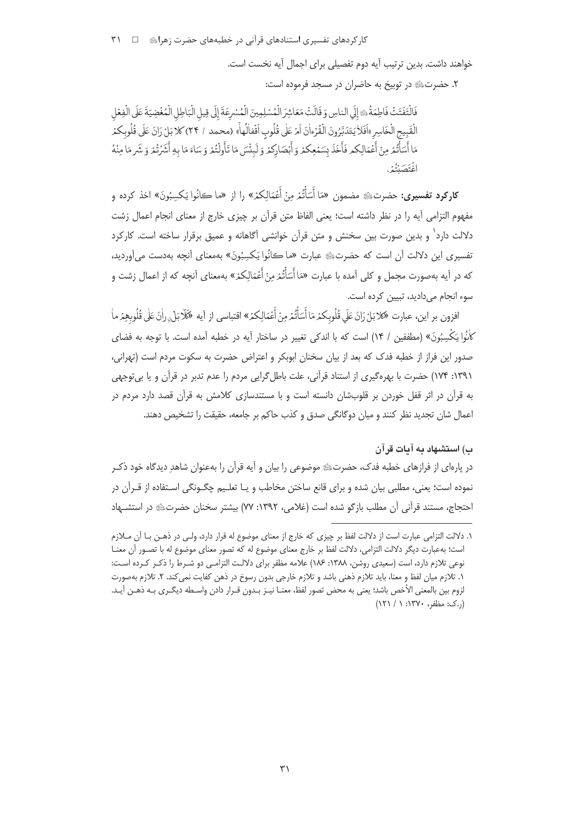کار کردهای تفسیری استنادهای قرآنی در خطبههای حضرت زهراﷺ □ ٣١

خواهند داشت. بدین ترتیب آیه دوم تفصیلی برای اجمال آیه نخست است.

٢. حضرتﷺ در توبيخ به حاضران در مسجد فرموده است:

فَالْتَفَتَتْ فَاطِمَةُ، إِلَى الناسِ وَقَالَتْ مَعَاشِرَ الْمُسْلِمِينَ الْمُسْرِعَةَ إِلَى قِيلِ الْبَاطِلِ الْمُغْضِيَةَ عَلَى الْفِعْل الْقَبِيعِ الْخَاسِرِ «اَفَلاَيَتَدَبَّرُونَ الْقُرْءاٰنَ اَمْ عَلٰى قُلُوبِ اَقْفالُهاْ» (محمد / ٢۴) كلاَبَلْ زانَ عَلَى قُلُوبكمْر مَا أَسَأْتُمْ مِنْ أَعْمَالِكُمْ فَأَخَذَ بِسَمْعِكُمْ وَأَبْصَارِكُمْ وَلَبِئْسَ مَا تَأُولُتُمْ وَ سَاءَ مَا بِهِ أَشْرُتُمْ وَ شَرِ مَا مِنْهُ انْتَصَيْتُهُ .

**كاركرد تفسيري:** حضرتﷺ مضمون «مَا أَسَأْتُمْ مِنْ أَعْمَالِكمْ» را از «ما كانُوا يَكسِبُونَ» اخذ كرده و مفهوم التزامي آيه را در نظر داشته است؛ يعني الفاظ متن قرآن بر چيزي خارج از معناي انجام اعمال زشت دلالت دارد<sup>۱</sup> و بدین صورت بین سخنش و متن قرآن خوانشی آگاهانه و عمیق برقرار ساخته است. کارکرد تفسيري اين دلالت آن است كه حضرتﷺ عبارت «ما كانُوا يَكسِبُونَ» بهمعناي آنچه بهدست مي آورديد، که در آیه بهصورت مجمل و کلی آمده با عبارت «مَا أَسَأْتُمْ مِنْ أَعْمَالِکمْ» بهمعنای أنچه که از اعمال زشت و سوء انجام مے دادید، تبیین کردہ است.

افزون بر اين، عبارت «كلابَلْ رَانَ عَلَى قُلُوبِكَمْ مَا أَسَأْتُمْ مِنْ أَعْمَالِكُمْ» اقتباسي از آيه «كَلَابَلْ راٰنَ عَلٰى قُلُوبِهِمْ ما كَانُوا يَكْسِبُونَ» (مطففين / ١۴) است كه با اندكي تغيير در ساختار آيه در خطبه آمده است. با توجه به فضاي صدور این فراز از خطبه فدک که بعد از بیان سخنان ابوبکر و اعتراض حضرت به سکوت مردم است (تهرانی، ١٣٩١: ١٧۴) حضرت با بهرهگيري از استناد قرآني، علت باطل گرايي مردم را عدم تدبر در قرآن و يا بي توجهي به قرآن در اثر قفل خوردن بر قلوبشان دانسته است و با مستندسازی کلامش به قرآن قصد دارد مردم در اعمال شان تجدید نظر کنند و میان دوگانگی صدق و کذب حاکم بر جامعه، حقیقت را تشخیص دهند.

## ب) استشهاد به آبات قرآن

در پارهای از فرازهای خطبه فدک، حضرتﷺ موضوعی را بیان و آیه قرآن را بهعنوان شاهدِ دیدگاه خود ذک نموده است؛ یعنی، مطلبی بیان شده و برای قانع ساختن مخاطب و یـا تعلـیم چگــونگی اسـتفاده از قــرآن در احتجاج، مستند قرآنی آن مطلب بازگو شده است (غلامی، ۱۳۹۲: ۷۷) بیشتر سخنان حضرتﷺ در استشــهاد

١. دلالت التزامي عبارت است از دلالت لفظ بر چيزي كه خارج از معناي موضوع له قرار دارد، ولـي در ذهـن بــا آن مــلازم است؛ بهعبارت ديگر دلالت التزامي، دلالت لفظ بر خارج معناي موضوع له كه تصور معناي موضوع له با تصــور أن معنــا نوعي تلازم دارد، است (سعيدي روشن، ١٣٨٨: ١٨۶) علامه مظفر براي دلالت التزامـي دو شـرط را ذكـر كـرده اسـت: ۱. تلازم میان لفظ و معنا، باید تلازم ذهنی باشد و تلازم خارجی بدون رسوخ در ذهن کفایت نمی کند. ۲. تلازم بهصورت لزوم بين بالمعنى الأخص باشد؛ يعني به محض تصور لفظ، معنـا نيـز بـدون قـرار دادن واسـطه ديگـرى بـه ذهـن آيـد. (..ک: مظفر، ۱۳۷۰: ۱ / ۱۲۱)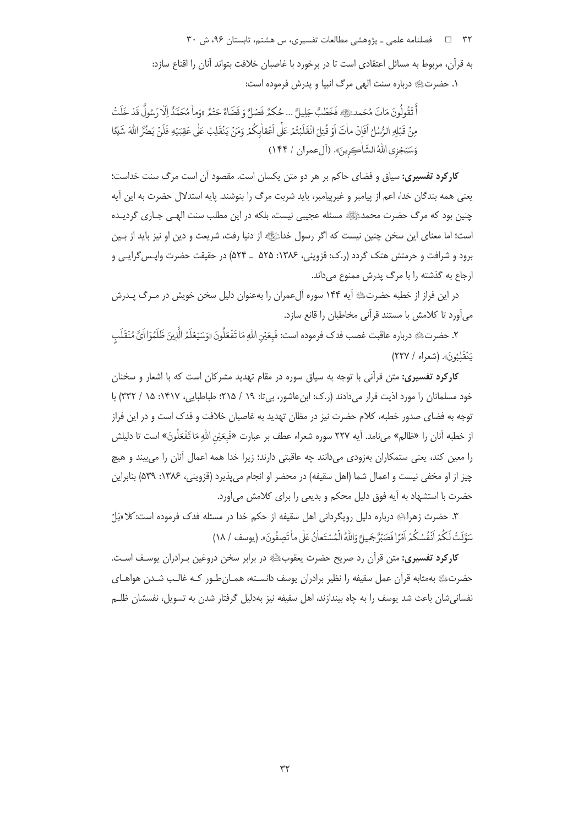۳۲ = د فصلنامه علمی ـ پژوهشی مطالعات تفسیری، س هشتم، تابستان ۹۶، ش ۳۰

به قرآن، مربوط به مسائل اعتقادي است تا در برخورد با غاصبان خلافت بتواند آنان را اقناع سازد: ١. حضرتﷺ درباره سنت الهي مرگ انبيا و يدرش فرموده است:

أَ تَقُولُونَ مَاتَ مُحَمدٍ ﷺ فَخَطْبٌ جَلِيلٌ ... حُكمُّ فَصْلٌ وَ قَضَاءٌ حَتْمٌ الوَماٰ مُحَمَّدٌ إلّا رَسُولٌ قَدْ خَلَتْ مِنْ قَبْلِهِ الرُّسُلُ أَفَانُ مِأْتَ أَوْ قُتِلَ انْقَلَبْتُمْ عَلَى أَعْقاٰبِكُمْ وَمَنْ يَنْقَلِبْ عَلى عَقِبَيْهِ فَلَنْ يَضُرَّ اللّهَ شَيْئًا وَسَيَجْزِي اللَّهُ الشَّاٰكِرِينَ». (آل عمران / ١۴۴)

**کارکرد تفسیری:** سیاق و فضای حاکم بر هر دو متن یکسان است. مقصود آن است مرگ سنت خداست؛ يعني همه بندگان خدا، اعم از پيامبر و غيرپيامبر، بايد شربت مرگ را بنوشند. پايه استدلال حضرت به اين آيه چنین بود که مرگ حضرت محمدﷺ مسئله عجیبی نیست، بلکه در این مطلب سنت الهـی جـاری گردیــده است؛ اما معنای این سخن چنین نیست که اگر رسول خداﷺ از دنیا رفت، شریعت و دین او نیز باید از بـین برود و شرافت و حرمتش هتک گردد (ر.ک: قزوینی، ۱۳۸۶: ۵۲۵ \_ ۵۲۴) در حقیقت حضرت واپس گرایبی و ارجاع به گذشته را با مرگ پدرش ممنوع می داند.

در این فراز از خطبه حضرتﷺ آیه ۱۴۴ سوره آلءمران را بهعنوان دلیل سخن خویش در مـرگ پـدرش می آورد تا کلامش با مستند قرآنی مخاطبان را قانع سازد.

٢. حضرت؛﴾ درباره عاقبت غصب فدك فرموده است: فَبعَيْنِ اللهِ مَا تَفْعَلُونَ «وَسَيَعْلَمُ الَّذِينَ ظَلَمُوٓا أئَ مُنْقَلَب يَنْقَلِّبُونَ». (شعراء / ٢٢٧)

**کارکرد تفسیری:** متن قرآنی با توجه به سیاق سوره در مقام تهدید مشرکان است که با اشعار و سخنان خود مسلمانان را مورد اذیت قرار میدادند (ر.ک: ابن عاشور، بی تا: ۱۹ / ۲۱۵؛ طباطبایی، ۱۴۱۷: ۱۵ / ۳۳۲) با توجه به فضای صدور خطبه، کلام حضرت نیز در مظان تهدید به غاصبان خلافت و فدک است و در این فراز از خطبه آنان را «ظالم» می نامد. آیه ۲۲۷ سوره شعراء عطف بر عبارت «فَبِعَيْنِ اللهِ مَا تَفْعَلُونَ» است تا دليلش را معین کند، یعنی ستمکاران بهزودی میدانند چه عاقبتی دارند؛ زیرا خدا همه اعمال آنان را می بیند و هیچ چیز از او مخفی نیست و اعمال شما (اهل سقیفه) در محضر او انجام می پذیرد (قزوینی، ۱۳۸۶: ۵۳۹) بنابراین حضرت با استشهاد به آیه فوق دلیل محکم و بدیعی را برای کلامش میآورد.

۳. حضرت زهراﷺ درباره دلیل رویگردانی اهل سقیفه از حکم خدا در مسئله فدک فرموده است: کلا«بَلُ سَوَّلَتْ لَكُمْ اَنْفُسُكُمْ اَمْرًا فَصَبْرٌ جَمِيلٌ وَاللّهُ الْمُسْتَعانُ عَلَى ما تَصِفُونَ». (يوسف ١٨/ ١٨)

**کارکرد تفسیری:** متن قرآن رد صریح حضرت یعقوبﷺ در برابر سخن دروغین بـرادران یوسـف اسـت. حضرتﷺ بهمثابه قرآن عمل سقيفه را نظير برادران يوسف دانسـته، همـانطور كـه غالـب شـدن هواهـاي نفسانی شان باعث شد یوسف را به چاه بیندازند، اهل سقیفه نیز بهدلیل گرفتار شدن به تسویل، نفسشان ظلــهر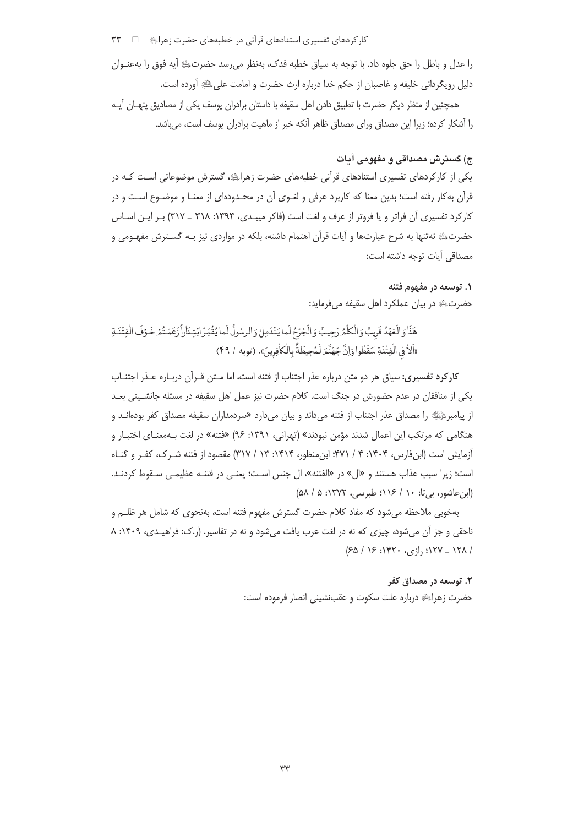کار کردهای تفسیری استنادهای قرآنی در خطبههای حضرت زهرایﷺ □ ٣٣

را عدل و باطل را حق جلوه داد. با توجه به سياق خطبه فدک، بهنظر مي رسد حضرتﷺ آيه فوق را بهعنـوان دلیل رویگردانی خلیفه و غاصبان از حکم خدا درباره ارث حضرت و امامت علی، ﷺ آورده است.

همچنین از منظر دیگر حضرت با تطبیق دادن اهل سقیفه با داستان برادران یوسف یکی از مصادیق پنهـان آیـه را آشکار کرده؛ زیرا این مصداق ورای مصداق ظاهر آنکه خبر از ماهیت برادران یوسف است، می باشد.

## ج) گسترش مصداقی و مفهومی آمات

یکی از کارکردهای تفسیری استنادهای قرآنی خطبههای حضرت زهراییه، گسترش موضوعاتی اسـت کـه در قرآن به کار رفته است؛ بدین معنا که کاربرد عرفی و لغـوی آن در محـدودهای از معنـا و موضـوع اسـت و در کارکرد تفسیری آن فراتر و یا فروتر از عرف و لغت است (فاکر میبـدی، ۱۳۹۳: ۳۱۸ ـ ۳۱۷) بـر ایـن اسـاس حضرتﷺ نهتنها به شرح عبارتها و آيات قرآن اهتمام داشته، بلكه در مواردي نيز بـه گسـترش مفهـومي و مصداقي آيات توجه داشته است:

### ۱. توسعه در مفهوم فتنه

حضرتﷺ در بيان عملكرد اهل سقيفه مي فرمايد:

# هَذَا وَالْعَهُدُ قَرِيبٌ وَالْكُلْمُ رَحِيبٌ وَالْجُرْحُ لَما يَنْدَمِلْ وَالرسُولُ لَما يُقْبَرُ ابْتِدَاراً زَعَمْتُمْ خَوْفَ الْفِتْدَةِ «اَلاَ فِي الْفِتْنَةِ سَقَطُوا وَإِنَّ جَهَنَّمَ لَمُحِيطَةً بِالْكَافِرِينَ». (توبه / ۴۹)

کارکرد تفسیری: سیاق هر دو متن درباره عذر اجتناب از فتنه است، اما مـتن قـرآن دربـاره عـذر اجتنـاب یکی از منافقان در عدم حضورش در جنگ است. کلام حضرت نیز عمل اهل سقیفه در مسئله جانشـینی بعـد از پیامبرﷺ را مصداق عذر اجتناب از فتنه میداند و بیان میدارد «سردمداران سقیفه مصداق کفر بودهانــد و هنگامی که مرتکب این اعمال شدند مؤمن نبودند» (تهرانی، ۱۳۹۱: ۹۶) «فتنه» در لغت بـهمعنـای اختبـار و آزمایش است (ابنفارس، ۱۴۰۴: ۴ / ۴۷۱؛ ابن منظور، ۱۴۱۴: ۱۳ / ۳۱۷) مقصود از فتنه شـرک، کفـر و گنـاه است؛ زيرا سبب عذاب هستند و «ال» در «الفتنه»، ال جنس است؛ يعنـي در فتنـه عظيمـي سـقوط كردنـد.  $(0\land 10.3)$ ۰ (ابن عاشور، ب): ۱۰ / ۱۱۶): طبرسی، ۱۳۷۲: ۵

بهخوبی ملاحظه میشود که مفاد کلام حضرت گسترش مفهوم فتنه است، بهنحوی که شامل هر ظلـم و ناحقی و جز آن می شود، چیزی که نه در لغت عرب یافت می شود و نه در تفاسیر. (ر.ک: فراهیدی، ۱۴۰۹: ۸ / ۱۲۸\_ ۱۲۷: رازی، ۱۴۲۰: ۱۶/ ۶۵/

# ۲. توسعه در مصداق کفر حضرت زهراﷺ درباره علت سكوت و عقبنشيني انصار فرموده است: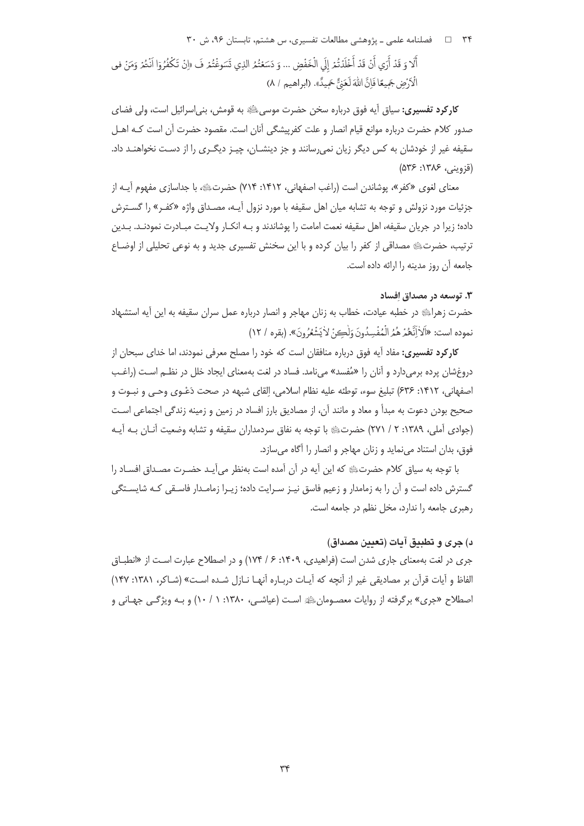۳۴ = 1 فصلنامه علمی ـ پژوهشی مطالعات تفسیری، س هشتم، تابستان ۹۶، ش ۳۰

أَلَا وَ قَدْ أَرَى أَنْ قَدْ أَخْلَدْتُمْ إِلَى الْخَفْضِ ... وَ دَسَعْتُمُ الذِي تَسَوغْتُمْ فَ «إِنْ تَكْفُرُوٓا انْتُمْ وَمَنْ في الْأَرْضِ جَمِيعًا فَإِنَّ اللَّهَ لَعَنَّ حَمِيدًا». (ابراهيم / ٨)

**کار کرد تفسیری:** سیاق آیه فوق درباره سخن حضرت موسی ﷺ به قومش، بنی|سرائیل است، ولی فضای صدور كلام حضرت درباره موانع قيام انصار و علت كفرييشگي آنان است. مقصود حضرت آن است كـه اهــل سقیفه غیر از خودشان به کس دیگر زیان نمی رسانند و جز دینشــان، چیــز دیگــری را از دســت نخواهنــد داد. (قزويني، ۱۳۸۶: ۵۳۶)

معنای لغوی «کفر»، پوشاندن است (راغب اصفهانی، ۱۴۱۲: ۷۱۴) حضرتﷺ، با جداسازی مفهوم آیــه از جزئیات مورد نزولش و توجه به تشابه میان اهل سقیفه با مورد نزول آیــه، مصـداق واژه «کفـر» را گسـترش داده؛ زیرا در جریان سقیفه، اهل سقیفه نعمت امامت را پوشاندند و بـه انکــار ولایــت مبــادرت نمودنــد. بــدین ترتیب، حضرتﷺ مصداقی از کفر را بیان کرده و با این سخنش تفسیری جدید و به نوعی تحلیلی از اوضـاع جامعه آن روز مدینه را ارائه داده است.

## ۰۳. توسعه در مصداق افساد

حضرت زهراءي در خطبه عيادت، خطاب به زنان مهاجر و انصار درباره عمل سران سقيفه به اين أيه استشهاد نِموده است: «اَلاَ أَنَّعُمْ هُمُرَ الْمُفْسِدُونَ وَلَٰڪِنٌ لِأَيَشْعُرُونَ». (بقره / ١٢)

**کارکرد تفسیری:** مفاد آیه فوق درباره منافقان است که خود را مصلح معرفی نمودند، اما خدای سبحان از دروغشان پرده برمیدارد و آنان را «مُفسد» میiمد. فساد در لغت بهمعنای ایجاد خلل در نظـم اسـت (راغـب اصفهاني، ١۴١٢: ۶۳۶) تبليغ سوء، توطئه عليه نظام اسلامي، إلقاي شبهه در صحت دَعْـوي وحـي و نبـوت و صحیح بودن دعوت به مبدأ و معاد و مانند آن، از مصادیق بارز افساد در زمین و زمینه زندگی اجتماعی است (جوادي آملي، ١٣٨٩: ٢ / ٢٧١) حضرتﷺ يا توجه به نفاق سردمداران سقيفه و تشابه وضعيت آنـان بـه آيـه .<br>فوق، بدان استناد می نماید و زنان مهاجر و انصار را آگاه می سازد.

با توجه به سياق كلام حضرتﷺ كه اين آيه در آن آمده است بهنظر مي آيـد حضـرت مصـداق افســاد را گسترش داده است و آن را به زمامدار و زعیم فاسق نیـز سـرایت داده؛ زیـرا زمامـدار فاسـقی کـه شایسـتگی رهبری جامعه را ندارد، مخل نظم در جامعه است.

## د) جري و تطبيق آيات (تعيين مصداق)

جری در لغت بهمعنای جاری شدن است (فراهیدی، ۱۴۰۹: ۶/ ۱۷۴) و در اصطلاح عبارت است از «انطباق الفاظ و آيات قرآن بر مصاديقي غير از آنچه كه آيـات دربـاره آنهـا نــازل شــده اسـت» (شــاكر، ١٣٨١: ١۴٧) اصطلاح «جری» برگرفته از روایات معصـومانﷺ اسـت (عیاشـی، ۱۳۸۰: ۱ / ۱۰) و بـه ویژگـی جهـانی و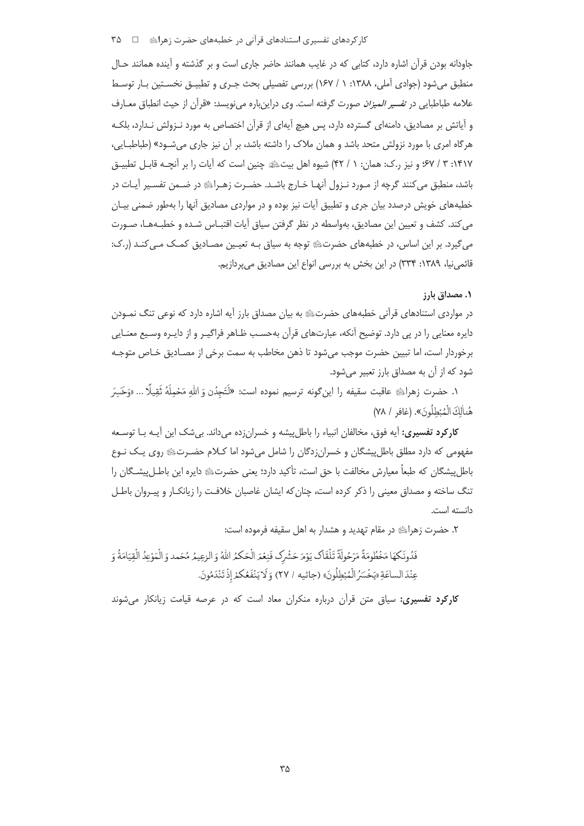کار کردهای تفسیری استنادهای قرآنی در خطبههای حضرت زهرایِ □ ۳۵

جاودانه بودن قرآن اشاره دارد، کتابی که در غایب همانند حاضر جاری است و بر گذشته و آینده همانند حـال منطبق می شود (جوادی آملی، ۱۳۸۸: ۱/ ۱۶۷) بررسی تفصیلی بحث جـری و تطبیــق نخسـتین بــار توسـط علامه طباطبايي در ت*فسير الميزان* صورت گرفته است. وي دراينباره ميiويسد: «قرآن از حيث انطباق م*ع*ـارف و آیاتش بر مصادیق، دامنهای گسترده دارد، پس هیچ آیهای از قرآن اختصاص به مورد نـزولش نـدارد، بلکـه هرگاه امری با مورد نزولش متحد باشد و همان ملاک را داشته باشد، بر آن نیز جاری می شـود» (طباطبـایی، ۱۴۱۷: ۳ / ۶۷؛ و نیز ر.ک: همان: ۱ / ۴۲) شیوه اهل بیتﷺ چنین است که آیات را بر آنچـه قابـل تطبیـق باشد، منطبق می کنند گرچه از مـورد نـزول آنهـا خـارج باشـد. حضـرت زهـراﷺ در ضـمن تفسـير آيـات در خطبههای خویش درصدد بیان جری و تطبیق آیات نیز بوده و در مواردی مصادیق آنها را بهطور ضمنی بیـان می کند. کشف و تعیین این مصادیق، بهواسطه در نظر گرفتن سیاق آیات اقتبـاس شـده و خطبـههـا، صـورت می گیرد. بر این اساس، در خطبههای حضرتﷺ توجه به سیاق بـه تعیـین مصـادیق کمـک مـی کنـد (ر.ک: قائمی نیا، ۱۳۸۹: ۳۳۴) در این بخش به بررسی انواع این مصادیق می پردازیم.

١. مصداق يارز

در مواردی استنادهای قرآنی خطبههای حضرتﷺ به بیان مصداق بارز آیه اشاره دارد که نوعی تنگ نمـودن دایره معنایی را در پی دارد. توضیح آنکه، عبارتهای قرآن بهحسب ظـاهر فراگیـر و از دایـره وسـیع معنـایی برخوردار است، اما تبیین حضرت موجب می شود تا ذهن مخاطب به سمت برخی از مصـادیق خـاص متوجـه شود که از آن به مصداق بارز تعبیر میشود.

١. حضرت زهراﷺ عاقبت سقيفه را اين¢ونه ترسيم نموده است: «لَتَجِدُن وَ الله مَحْملَهُ ثَقِيلًا … «وَخَسَرَ هُناٰلِكَ الْمُبْطِلُونَ». (غافر / ٧٨)

**کارکرد تفسیری:** آیه فوق، مخالفان انبیاء را باطل پیشه و خسرانزده میداند. بی شک این آیـه بـا توسـعه مفهومی که دارد مطلق باطل پیشگان و خسران;دگان را شامل می شود اما کـلام حضـرتﷺ روی یـک نـوع باطل پیشگان که طبعاً معیارش مخالفت با حق است، تأکید دارد؛ یعنی حضرتﷺ دایره این باطـل پیشـگان را تنگ ساخته و مصداق معینی را ذکر کرده است، چنان که ایشان غاصبان خلافت را زیانکـار و پیـروان باطـل دانسته است.

٢. حضرت زهراﷺ در مقام تهديد و هشدار به اهل سقيفه فرموده است:

فَدُونَكِهَا مَخْطُومَةً مَرْحُولَةً تَلْقَاكَ يَوْمَ حَشْرِكَ فَنِعْمَ الْحَكْمُ اللَّهُ وَ الزعِيمُ مُحَمد وَ الْمَوْعِدُ الْقِيَامَةُ وَ عِنْدَ الساعَةِ «يَخْسَرُ الْمُبْطِلُونَ» (جاثيه / ٢٧) وَ لَا يَنْفَعُكُمْ إِذْ تَنْدَمُونَ.

کارکرد تفسیری: سیاق متن قرآن درباره منکران معاد است که در عرصه قیامت زیانکار می شوند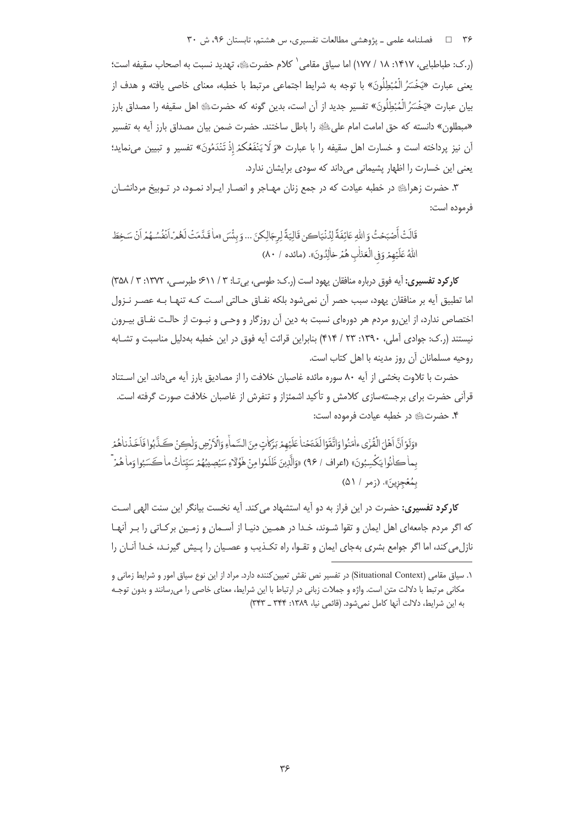۳۶ = 1 فصلنامه علمی ـ پژوهشی مطالعات تفسیری، س هشتم، تابستان ۹۶، ش ۳۰

(ر.ک: طباطبایی، ۱۴۱۷: ۱۸ / ۱۷۷) اما سیاق مقامی ` کلام حضرتﷺ، تهدید نسبت به اصحاب سقیفه است؛ يعني عبارت «يَخْسَرُ الْمُبْطِلُونَ» با توجه به شرايط اجتماعي مرتبط با خطبه، معناي خاصي يافته و هدف از بيان عبارت «يَخْسَرُ الْمُبْطِلُونَ» تفسير جديد از آن است، بدين گونه كه حضرتﷺ اهل سقيفه را مصداق بارز «مبطلون» دانسته که حق امامت امام علىﷺ را باطل ساختند. حضرت ضمن بيان مصداق بارز آيه به تفسير آن نيز يرداخته است و خسارت اهل سقيفه را با عبارت «وَ لَا يَنْفَعُكمْ إِذْ تَنْدَمُونَ» تفسير و تبيين ميiمايد؛ یعنی این خسارت را اظهار پشیمانی می داند که سودی برایشان ندارد.

۳. حضرت زهرای در خطبه عیادت که در جمع زنان مهـاجر و انصـار ایـراد نمـود، در تـوبیخ مردانشـان فرموده است:

قَالَتْ أَصْبَحْتُ وَ اللَّهِ عَائِفَةً لِدُنْيَاكِن قَالِيَةً لِرِجَالِكِنَ ... وَ بِنُسَ «ماٰ قَدَّمَتْ لَعُمْهِ أَنْفُسُهُمْ أَنْ سَخِطَ اللَّهُ عَلَيْهِمْ وَفِي الْعَنْابِ هُمْ خاٰلِدُونَ». (مائده / ٨٠)

كاركرد تفسيري: آيه فوق درباره منافقان يهود است (ر.ك: طوسى، بي تـا: ٣ / ٤١١، طبرسـى، ١٣٧٢: ٣ / ٣٥٨) اما تطبیق آیه بر منافقان یهود، سبب حصر آن نمیشود بلکه نفـاق حـالتی اسـت کـه تنهـا بـه عصـر نـزول اختصاص ندارد، از این رو مردم هر دورهای نسبت به دین آن روزگار و وحـی و نبـوت از حالـت نفـاق بیـرون نیستند (ر.ک: جوادی آملی، ۱۳۹۰: ۲۳/ ۴۱۴) بنابراین قرائت آیه فوق در این خطبه بهدلیل مناسبت و تشـابه روحيه مسلمانان آن روز مدينه با اهل كتاب است.

حضرت با تلاوت بخشی از آیه ۸۰ سوره مائده غاصبان خلافت را از مصادیق بارز آیه میداند. این استناد قرآنی حضرت برای برجستهسازی کلامش و تأکید اشمئزاز و تنفرش از غاصبان خلافت صورت گرفته است. ۴. حضرتﷺ در خطبه عيادت فرموده است:

«وَلَوْ أَنَّ أَهْلَ الْقُرْى ءاٰمَنُوا وَاتَّقَوْا لَفَتَحْناٰ عَلَيْهِمْ بَرَكاتٍ مِنَ السَّماْءِ وَالْأَرْضِ وَلٰكِنْ كَذَّبُوا فَاَخَذْناهُمْ بما كانُوا يَكْسِبُونَ» (اعراف / ٩٤) «وَالَّذِينَ ظَلَمُوا مِنْ هَٰؤُلَّاءِ سَيُصِيبُهُمْ سَيِّئاتُ ما كَسَبُوا وَما هُمَّ بِمُعْجزِينَ». (زمر / ۵۱)

**کارکرد تفسیری:** حضرت در این فراز به دو آیه استشهاد می کند. آیه نخست بیانگر این سنت الهی اسـت که اگر مردم جامعهای اهل ایمان و تقوا شـوند، خـدا در همـین دنیـا از آسـمان و زمـین برکـاتی را بـر آنهـا نازل می کند، اما اگر جوامع بشری بهجای ایمان و تقـوا، راه تکـذیب و عصـیان را پـیش گیرنـد، خـدا آنـان را

۱. ساق مقامی (Situational Context) در تفسیر نص نقش تعیین کننده دارد. مراد از این نوع ساق امور و شرایط زمانی و مکانی مرتبط با دلالت متن است. واژه و جملات زبانی در ارتباط با این شرایط، معنای خاصی را میرسانند و بدون توجـه به این شرایط، دلالت آنها کامل نمی شود. (قائمی نیا، ۱۳۸۹: ۳۴۴ \_ ۳۴۳)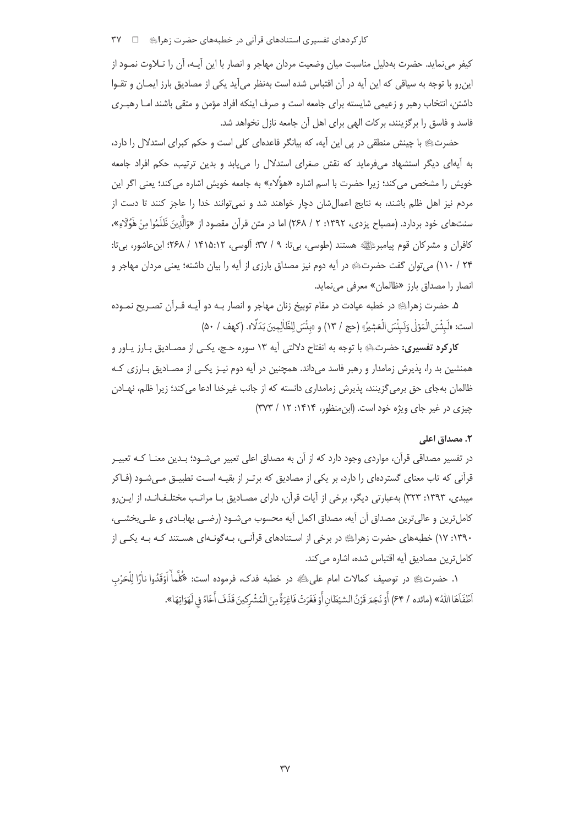کار کردهای تفسیری استنادهای قرآنی در خطبههای حضرت زهرایﷺ □ ٣٧

كيفر مي نمايد. حضرت بهدليل مناسبت ميان وضعيت مردان مهاجر و انصار با اين آيــه، آن را تــلاوت نمــود از این٫رو با توجه به سیاقی که این آیه در آن اقتباس شده است بهنظر میآید یکی از مصادیق بارز ایمـان و تقـوا داشتن، انتخاب رهبر و زعیمی شایسته برای جامعه است و صرف اینکه افراد مؤمن و متقی باشند امـا رهبـری فاسد و فاسق را برگزینند، برکات الهی برای اهل آن جامعه نازل نخواهد شد.

حضرتﷺ با چینش منطقی در پی این آیه، که بیانگر قاعدهای کلی است و حکم کبرای استدلال را دارد، به آیهای دیگر استشهاد میفرماید که نقش صغرای استدلال را می یابد و بدین ترتیب، حکم افراد جامعه خویش را مشخص می کند؛ زیرا حضرت با اسم اشاره «هؤُلاء» به جامعه خویش اشاره می کند؛ یعنی اگر این مردم نیز اهل ظلم باشند، به نتایج اعمالشان دچار خواهند شد و نمی توانند خدا را عاجز کنند تا دست از سنتهای خود بردارد. (مصباح یزدی، ۱۳۹۲: ۲ / ۲۶۸) اما در متن قرآن مقصود از «وَالَّذِینَ ظَلَمُوا مِنْ هَؤُلَّاءِ»، کافران و مشرکان قوم پیامبرﷺ هستند (طوسی، بی تا: ۹ / ۳۷؛ آلوسی، ۱۴۱۵:۱۲ / ۲۶۸؛ ابن عاشور، بی تا: ۲۴ / ۱۱۰) می توان گفت حضرتﷺ در آیه دوم نیز مصداق بارزی از آیه را بیان داشته؛ یعنی مردان مهاجر و انصار را مصداق بارز «ظالمان» معرفی می نماید.

۵. حضرت زهراي؛ در خطبه عيادت در مقام توبيخ زنان مهاجر و انصار بـه دو آيـه قـرآن تصـريح نمـوده است: «لَبِئْسَ الْمَوْلِي وَلَبِئْسَ الْعَشِيرُ» (حج / ١٣) و «بِئْسَ لِلظَّالِمِينَ بَدَلًا». (كهف / ۵٠)

کارکرد تفسیری: حضرتﷺ با توجه به انفتاح دلالتی آیه ۱۳ سوره حـج، یکـی از مصـادیق بـارز یـاور و همنشین بد را، پذیرش زمامدار و رهبر فاسد میداند. همچنین در آیه دوم نیـز یکـی از مصـادیق بـارزی کـه ظالمان بهجای حق برمیگزینند، پذیرش زمامداری دانسته که از جانب غیرخدا ادعا می کند؛ زیرا ظلم، نهـادن چیزی در غیر جای ویژه خود است. (ابن منظور، ۱۴۱۴: ۱۲ / ۳۷۳)

#### ٢. مصداق اعلى

در تفسیر مصداقی قرآن، مواردی وجود دارد که از آن به مصداق اعلی تعبیر میشـود؛ بـدین معنـا کـه تعبیـر قرآنی که تاب معنای گستردهای را دارد، بر یکی از مصادیق که برتـر از بقیـه اسـت تطبیـق مـی،شـود (فــاکر میبدی، ۱۳۹۳: ۳۲۳) بهعبارتی دیگر، برخی از آیات قرآن، دارای مصـادیق بـا مراتـب مختلـفانـد، از ایـن٫و كامل ترين و عالي ترين مصداق أن أيه، مصداق اكمل أيه محسوب مي شـود (رضـي بهابــادي و علــي بخشــي، ۱۳۹۰: ۱۷) خطبههای حضرت زهرای ه در برخی از اسـتنادهای قرآنـی، بـهگونـهای هسـتند کـه بـه یکـی از كامل ترين مصاديق آيه اقتباس شده، اشاره مي كند.

١. حضرت؛ ع در توصيف كمالات امام على لخَهِ در خطبه فدك، فرموده است: «كُلَّماً أَوَقَدُوا نارًا لِلْحَرْب أَطْفَاهَا اللَّهُ» (مائده / ۶۴) أَوْ نَجَمَ قَزْنُ الشَّيْطَانِ أَوْ فَغَرَتْ فَاغِرَةً مِنَ الْمُشْركينَ قَذَفَ أَخَاهُ فِي لَهَوَاتِهَا».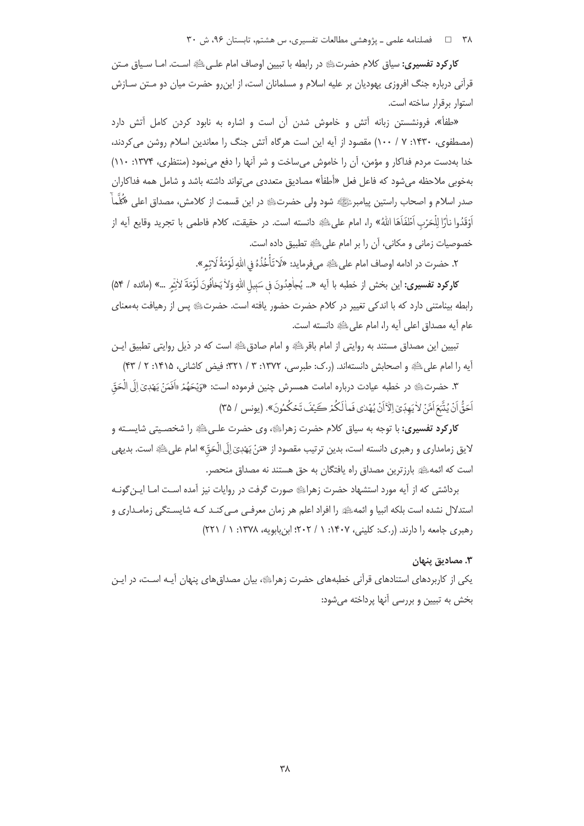۳۸ = □ فصلنامه علمی ـ پژوهشی مطالعات تفسیری، س هشتم، تابستان ۹۶، ش ۳۰

**کارکرد تفسیری:** سیاق کلام حضرتﷺ در رابطه با تبیین اوصاف امام علـیﷺ اسـت. امـا سـیاق مـتن قرآنی درباره جنگ افروزی یهودیان بر علیه اسلام و مسلمانان است، از اینرو حضرت میان دو مـتن سـازش استوار برقرار ساخته است.

«طفأ»، فرونشستن زبانه آتش و خاموش شدن آن است و اشاره به نابود كردن كامل آتش دارد (مصطفوی، ۱۴۳۰: ۷ / ۱۰۰) مقصود از آیه این است هرگاه آتش جنگ را معاندین اسلام روشن می کردند، خدا بهدست مردم فداكار و مؤمن، آن را خاموش می ساخت و شر آنها را دفع می نمود (منتظری، ۱۳۷۴: ۱۱۰) بهخوبی ملاحظه میشود که فاعل فعل «أطفأ» مصادیق متعددی میتواند داشته باشد و شامل همه فداکاران صدر اسلام و اصحاب راستین پیامبرﷺ شود ولی حضرتﷺ در این قسمت از کلامش، مصداق اعلی «َكُلَّماْ أَوْقَدُوا ناْرًا لِلْحَرْبِ اَطْفَاهَا اللهُ» را، امام علىﷺ دانسته است. در حقيقت، كلام فاطمى با تجريد وقايع آيه از خصوصيات زماني و مكاني، آن را بر امام على ﷺ تطبيق داده است.

٢. حضرت در ادامه اوصاف امام على ﷺ مي فرمايد: «لَا تَأْخُذُهُ فِي اللَّهِ لَوْمَةُ لَا يْمِ».

كاركرد تفسيري: اين بخش از خطبه با آيه «... يُجاْهِدُونَ في سَبيل اللهِ وَلاْ يَخافُونَ لَوْمَةَ لاثِم ...» (مائده / ۵۴) رابطه بینامتنی دارد که با اندکی تغییر در کلام حضرت حضور یافته است. حضرتﷺ پس از رهیافت بهمعنای عام آيه مصداق اعلى آيه را، امام على ﷺ دانسته است.

تبیین این مصداق مستند به روایتی از امام باقرﷺ و امام صادقﷺ است که در ذیل روایتی تطبیق ایـن آيه را امام على اللهِ و اصحابش دانستهاند. (ر.ک: طبرسي، ١٣٧٢: ٣ / ٣٢١؛ فيض کاشاني، ١۴١۵: ٢ / ۴٣)

٣. حضرتﷺ در خطبه عيادت درباره امامت همسرش چنين فرموده است: «وَيُحَهُمْ «اَفَمَنْ يَهْدِيَ إِلَى الْحَقّ اَحَقُّ أَنْ يُتَّبَعَ أَمَّنْ لِأَيَهِدِّيّ الْآَانُ يُهْدٰى فَماٰ لَكُمْرٍ كَئِفَ تَحْكُمُونَ». (يونس / ٣٥)

**کارکرد تفسیری:** با توجه به سیاق کلام حضرت زهراﷺ، وی حضرت علـی ﷺ را شخصـیتی شایسـته و لايق زمامداري و رهبري دانسته است، بدين ترتيب مقصود از «مَنْ يَهْدِيَ إِلَى الْحَقّ» امام علىﷺ است. بديهي است که ائمهﷺ بارزترین مصداق راه یافتگان به حق هستند نه مصداق منحصر.

برداشتی که از آیه مورد استشهاد حضرت زهراﷺ صورت گرفت در روایات نیز آمده اسـت امـا ایـن گونـه استدلال نشده است بلکه انبیا و ائمهﷺ را افراد اعلم هر زمان معرفـی مـی کنـد کـه شایســتگی زمامـداری و رهبری جامعه را دارند. (ر.ک: کلینی، ۱۴۰۷: ۱ / ۲۰۲؛ ابنبابویه، ۱۳۷۸: ۱ / ۲۲۱)

### ٣. مصاديق پنهان

یکی از کاربردهای استنادهای قرآنی خطبههای حضرت زهرای هبیان مصداق های پنهان آیـه اسـت، در ایـن بخش به تبیین و بررسی آنها پرداخته میشود: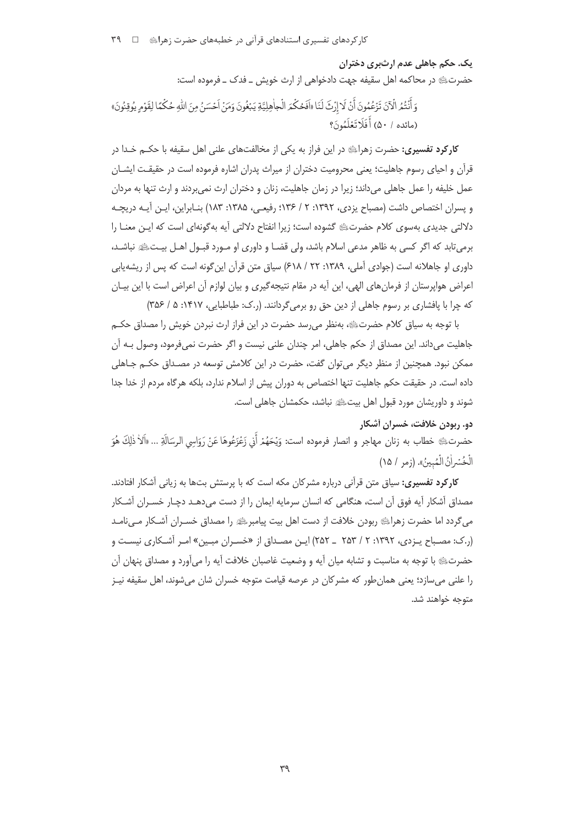کا<sub>د</sub> کردهای تفسیری استنادهای قرآنی در خطبههای حضرت زهرایﷺ □ ۳۹

یک. حکم جاهلی عدم ارثبری دختران حضرتﷺ در محاكمه اهل سقيفه جهت دادخواهي از ارث خويش \_ فدك \_ فرموده است:

هَ أَنْتُمُ الْآنَ تَزْعُمُونَ أَنْ لَا إِرْثَ لَنَا «أَفَحُكْمَ الْجاهِلِيَّةِ يَبْغُونَ وَمَنْ أَحْسَنُ مِنَ الله حُكْمًا لِقَوْمِ يُوقِنُونَ» (مائده / ۵۰) أَفَلَا تَعْلَمُونَ؟

**کارکرد تفسیری:** حضرت زهرایے در این فراز به یکی از مخالفتهای علنی اهل سقیفه با حکــم خـدا در قرآن و احیای رسوم جاهلیت؛ یعنی محرومیت دختران از میراث پدران اشاره فرموده است در حقیقـت ایشــان عمل خلیفه را عمل جاهلی می داند؛ زیرا در زمان جاهلیت، زنان و دختران ارث نمی بردند و ارث تنها به مردان و پسران اختصاص داشت (مصباح یزدی، ۱۳۹۲: ۲ / ۱۳۶: رفیعی، ۱۳۸۵: ۱۸۳) بنـابراین، ایـن آیـه دریچـه دلالتی جدیدی بهسوی کلام حضرتﷺ گشوده است؛ زیرا انفتاح دلالتی آیه بهگونهای است که ایـن معنــا را برمی تابد که اگر کسی به ظاهر مدعی اسلام باشد، ولی قضـا و داوری او مـورد قبـول اهـل بیـتﷺ نباشـد، داوری او جاهلانه است (جوادی آملی، ۱۳۸۹: ۲۲ / ۶۱۸) سیاق متن قرآن این گونه است که پس از ریشه یابی اعراض هواپرستان از فرمان های الهی، این آیه در مقام نتیجه گیری و بیان لوازم آن اعراض است با این بیـان که چرا با پافشاری بر رسوم جاهلی از دین حق رو برمی گردانند. (ر.ک: طباطبایی، ۱۴۱۷: ۵ / ۳۵۶)

با توجه به سیاق کلام حضرتﷺ، بهنظر می٫رسد حضرت در این فراز ارث نبردن خویش را مصداق حکـم جاهلیت میداند. این مصداق از حکم جاهلی، امر چندان علنی نیست و اگر حضرت نمیفرمود، وصول بـه آن ممکن نبود. همچنین از منظر دیگر می توان گفت، حضرت در این کلامش توسعه در مصـداق حکــم جــاهلی داده است. در حقیقت حکم جاهلیت تنها اختصاص به دوران پیش از اسلام ندارد، بلکه هرگاه مردم از خدا جدا شوند و داوریشان مورد قبول اهل بیتﷺ نباشد، حکمشان جاهلی است.

## دو. ربودن خلافت، خسران آشکار

حضرت؛ عليه خطاب به زنان مهاجر و انصار فرموده است: وَيْحَهُمْ أَنِي زَعْزَعُوهَا عَنْ رَوَاسِي الرسَالَةِ … «ألأ ذٰلِكَ هُوَ الْخُسْرِاْنُ الْمُبِينُ». (زمر / ١٥)

**کارکرد تفسیری:** سیاق متن قرآنی درباره مشرکان مکه است که با پرستش بتها به زیانی آشکار افتادند. مصداق آشکار آیه فوق آن است، هنگامی که انسان سرمایه ایمان را از دست می،دهـد دچـار خسـران آشـکار میگردد اما حضرت زهراﷺ ربودن خلافت از دست اهل بیت پیامبرﷺ را مصداق خسـران آشـكار مـیiلمـد (ر.ک: مصباح پـزدی، ۱۳۹۲: ۲ / ۲۵۳ \_ ۲۵۲) ایـن مصـداق از «خسـران مبـین» امـر آشـکاری نیسـت و حضرتﷺ با توجه به مناسبت و تشابه ميان آيه و وضعيت غاصبان خلافت آيه را مي آورد و مصداق پنهان آن را علنی میسازد؛ یعنی همان طور که مشرکان در عرصه قیامت متوجه خسران شان میشوند، اهل سقیفه نیـز متوجه خواهند شد.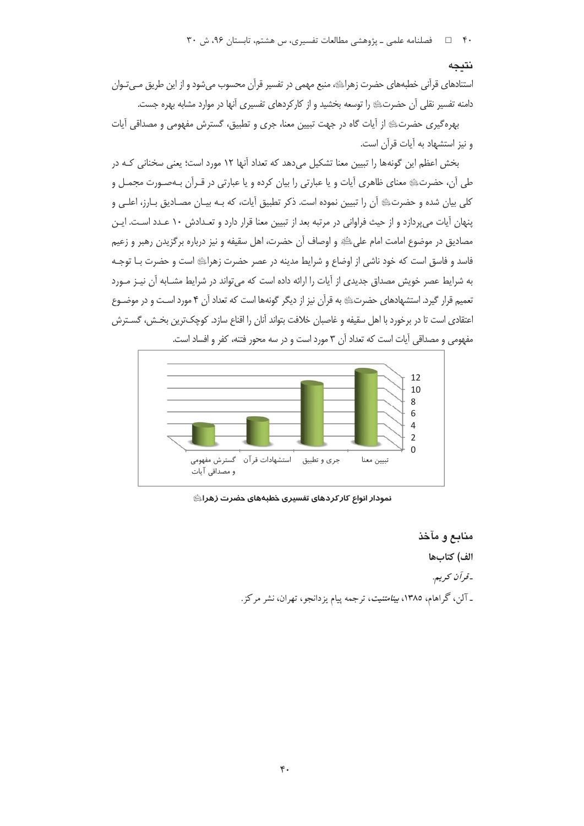۴۰ = □ فصلنامه علمی ـ یژوهشی مطالعات تفسیری، س هشتم، تابستان ۹۶، ش ۳۰

#### نتىجە

استنادهای قرآنی خطبههای حضرت زهراﷺ، منبع مهمی در تفسیر قرآن محسوب میشود و از این طریق مـیتـوان دامنه تفسیر نقلی آن حضرتﷺ را توسعه بخشید و از کارکردهای تفسیری آنها در موارد مشابه بهره جست.

بهره گیری حضرتﷺ از آیات گاه در جهت تبیین معنا، جری و تطبیق، گسترش مفهومی و مصداقی آیات و نیز استشهاد به آیات قرآن است.

بخش اعظم این گونهها را تبیین معنا تشکیل میدهد که تعداد آنها ١٢ مورد است؛ یعنی سخنانی کـه در طی آن، حضرتﷺ معنای ظاهری آیات و یا عبارتی را بیان کرده و یا عبارتی در قـرآن بـهصـورت مجمـل و كلي بيان شده و حضرتﷺ أن را تبيين نموده است. ذكر تطبيق أيات، كه بـه بيـان مصـاديق بـارز، اعلـي و پنهان آيات مي پردازد و از حيث فراواني در مرتبه بعد از تبيين معنا قرار دارد و تعـدادش ١٠ عـدد اسـت. ايـن مصاديق در موضوع امامت امام علىﷺ و اوصاف آن حضرت، اهل سقيفه و نيز درباره برگزيدن رهبر و زعيم فاسد و فاسق است که خود ناشی از اوضاع و شرایط مدینه در عصر حضرت زهراﷺ است و حضرت بـا توجـه به شرایط عصر خویش مصداق جدیدی از آیات را ارائه داده است که می تواند در شرایط مشـابه آن نیـز مـورد تعمیم قرار گیرد. استشهادهای حضرتﷺ به قرآن نیز از دیگر گونهها است که تعداد آن ۴ مورد اسـت و در موضـوع اعتقادي است تا در برخورد با اهل سقيفه و غاصبان خلافت بتواند آنان را اقناع سازد. كوچك ترين بخـش، گسـترش مفهومي و مصداقي آيات است كه تعداد آن ٣ مورد است و در سه محور فتنه، كفر و افساد است.



نمودار انواع كاركردهاى تفسيرى خطبههاى حضرت زهراﷺ

منابع و مآخذ الف) كتابها -قرآن كريم. ـ آلن، گراهام، ۱۳۸۵، *بینامتنیت*، ترجمه پیام یزدانجو، تهران، نشر مرکز.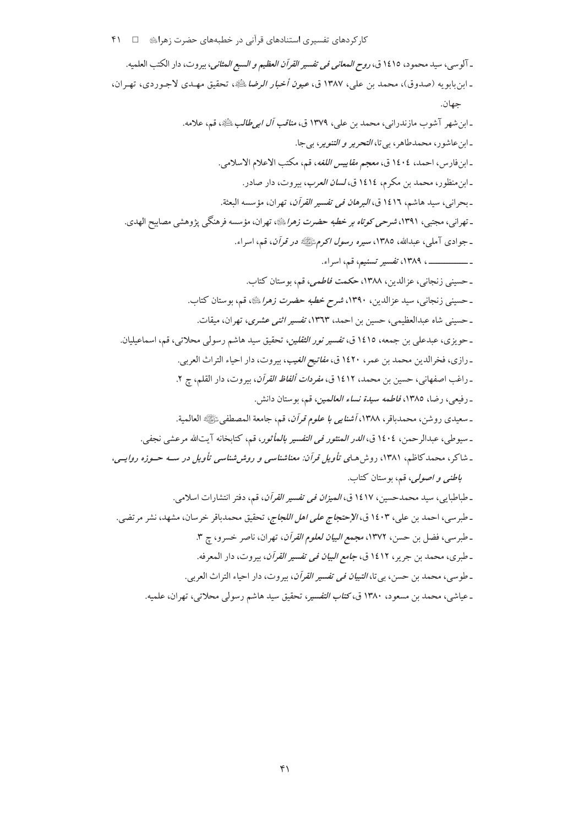ـ آلوسي، سيد محمود، ١٤١٥ ق، *روح المعاني في تفسير القرآن العظيم و السبع المثاني*، بيروت، دار الكتب العلميه. ـ ابن بابو يه (صدوق)، محمد بن علي، ١٣٨٧ ق، *عيون أخبار الرضا* ﷺ، تحقيق مهـدي لاجـوردي، تهـران، حهان. ـ ابن شهر آشوب مازندراني، محمد بن علي، ١٣٧٩ ق، *مناقب آل ابي طالب بالثَّانِي*، قم، علامه. ـ ابن عاشور، محمدطاهر، بي تا، *التحرير و التنوير*، بي جا. ـ ابنفارس، احمد، ١٤٠٤ ق، مع*جم مقاييس اللغه*، قم، مكتب الاعلام الاسلامي. ـ ابن منظور، محمد بن مكرم، ١٤١٤ ق، *لسان العرب*، بيروت، دار صادر. ـ بحراني، سيد هاشم، ١٤١٦ ق، *البرهان في تفسير القرآن*، تهران، مؤسسه البعثة. ـ تهرانبي، مجتبي، ١٣٩١، *شرحي كوتاه بر خطبه حضرت زهرا*يليه، تهران، مؤسسه فرهنگي پژوهشي مصابيح الهدي. ـ جوادي آملي، عبدالله، ١٣٨٥، سيره ر*سول اكرمﷺ در قرآن*، قم، اسراء. ـ حسینی زنجانبی، عزالدین، ۱۳۸۸، حکمت *فاطمی*، قم، بوستان کتاب. ـ حسيني زنجاني، سيد عزالدين، ١٣٩٠، *شرح خطبه حضرت زهراً بلثا»*، قم، بوستان كتاب. ـ حسینی شاه عبدالعظیمی، حسین بن احمد، ۱۳٦۳، *تفسیر اثنی عشری*، تهران، میقات. ـ حويزي، عبدعلي بن جمعه، ١٤١٥ ق، *تفسير نور الثقلين*، تحقيق سيد هاشم رسولي محلاتي، قم، اسماعيليان. ـ رازي، فخرالدين محمد بن عمر، ١٤٢٠ ق، *مفاتيح الغيب*، بيروت، دار احياء التراث العربي. ـ راغب اصفهاني، حسين بن محمد، ١٤١٢ ق، *مفردات ألفاظ القرآن*، بيروت، دار القلم، چ ٢. ـ رفيعي، رضا، ١٣٨٥، *فاطمه سيدة نساء العالمين*، قم، بوستان دانش. ـ سعيدي روشن، محمدباقر، ١٣٨٨، أشن*ايبي با علوم قرآن*، قم، جامعة المصطفى ﷺ العالمية. ـ سيوطي، عبدالرحمن، ١٤٠٤ ق، *الدر المنثور في التفسير بالمأثور*، قم، كتابخانه آيتالله مرعشي نجفي. ـ شاکر، محمدکاظم، ۱۳۸۱، روش هـای تأ*ویل قرآن: معناشناسی و روش شناسی تأویل در سـه حـوزه روایــی*، *باطني و اصولي، قه*، بوستان كتاب. ـ طباطبابي، سيد محمدحسين، ١٤١٧ ق، *الميزان في تفسير القرآن*، قم، دفتر انتشارات اسلامي. ـ طبرسي، احمد بن علي، ١٤٠٣ ق، *الإحتجاج على اهل اللجاج*، تحقيق محمدباقر خرسان، مشهد، نشر مرتضي. ـ طبرسي، فضل بن حسن، ١٣٧٢، مجمع *البيان لعلوم القرآن*، تهران، ناصر خسرو، چ ٣. ـ طبري، محمد بن جرير، ١٤١٢ ق، *جامع البيان في تفسير القرآن*، بيروت، دار المعرفه. ـ طوسي، محمد بن حسن، بي تا، *التبيان في تفسير القرآن*، بيروت، دار احياء التراث العربي. ـ عیاشی، محمد بن مسعود، ۱۳۸۰ ق، *کتاب التفسیر*، تحقیق سید هاشم رسول<sub>ی</sub> محلاتی، تهران، علمیه.